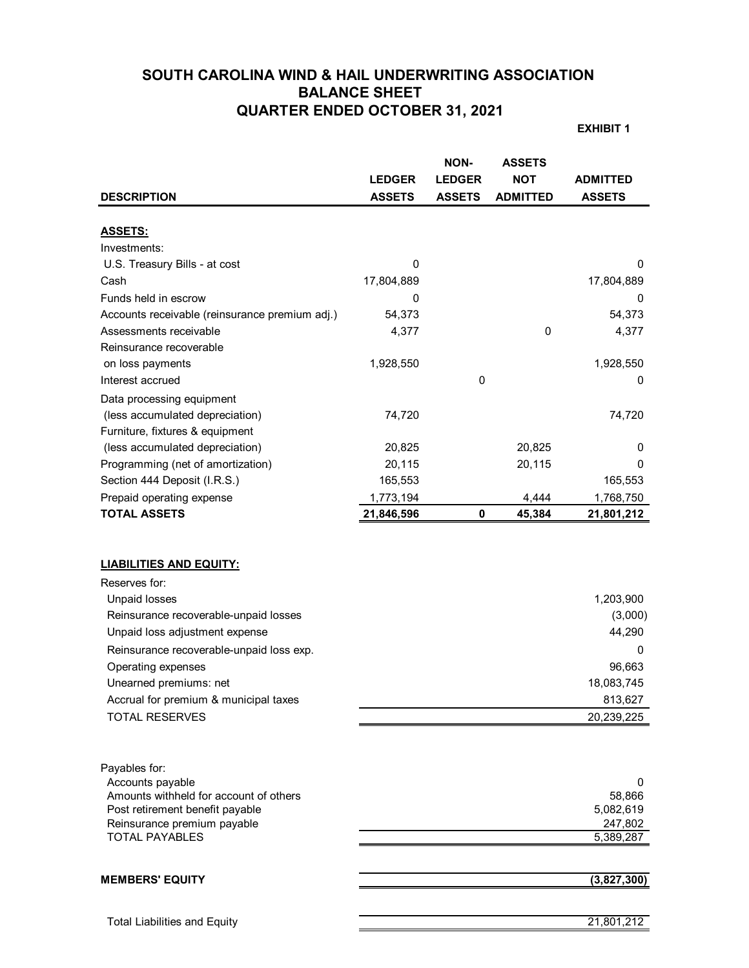# **SOUTH CAROLINA WIND & HAIL UNDERWRITING ASSOCIATION BALANCE SHEET QUARTER ENDED OCTOBER 31, 2021**

**EXHIBIT 1**

|                                                            |               | <b>NON-</b>   | <b>ASSETS</b>   |                     |
|------------------------------------------------------------|---------------|---------------|-----------------|---------------------|
|                                                            | <b>LEDGER</b> | <b>LEDGER</b> | <b>NOT</b>      | <b>ADMITTED</b>     |
| <b>DESCRIPTION</b>                                         | <b>ASSETS</b> | <b>ASSETS</b> | <b>ADMITTED</b> | <b>ASSETS</b>       |
|                                                            |               |               |                 |                     |
| <b>ASSETS:</b>                                             |               |               |                 |                     |
| Investments:                                               |               |               |                 |                     |
| U.S. Treasury Bills - at cost                              | $\mathbf 0$   |               |                 | 0                   |
| Cash                                                       | 17,804,889    |               |                 | 17,804,889          |
| Funds held in escrow                                       | 0             |               |                 | 0                   |
| Accounts receivable (reinsurance premium adj.)             | 54,373        |               |                 | 54,373              |
| Assessments receivable                                     | 4,377         |               | 0               | 4,377               |
| Reinsurance recoverable                                    |               |               |                 |                     |
| on loss payments                                           | 1,928,550     |               |                 | 1,928,550           |
| Interest accrued                                           |               | 0             |                 | 0                   |
| Data processing equipment                                  |               |               |                 |                     |
| (less accumulated depreciation)                            | 74,720        |               |                 | 74,720              |
| Furniture, fixtures & equipment                            |               |               |                 |                     |
| (less accumulated depreciation)                            | 20,825        |               | 20,825          | 0                   |
| Programming (net of amortization)                          | 20,115        |               | 20,115          | 0                   |
| Section 444 Deposit (I.R.S.)                               | 165,553       |               |                 | 165,553             |
| Prepaid operating expense                                  | 1,773,194     |               | 4,444           | 1,768,750           |
| <b>TOTAL ASSETS</b>                                        | 21,846,596    | $\mathbf 0$   | 45,384          | 21,801,212          |
| <b>LIABILITIES AND EQUITY:</b>                             |               |               |                 |                     |
| Reserves for:                                              |               |               |                 |                     |
| <b>Unpaid losses</b>                                       |               |               |                 | 1,203,900           |
| Reinsurance recoverable-unpaid losses                      |               |               |                 | (3,000)             |
| Unpaid loss adjustment expense                             |               |               |                 | 44,290              |
| Reinsurance recoverable-unpaid loss exp.                   |               |               |                 | 0                   |
| Operating expenses                                         |               |               |                 | 96,663              |
| Unearned premiums: net                                     |               |               |                 | 18,083,745          |
| Accrual for premium & municipal taxes                      |               |               |                 | 813.627             |
| <b>TOTAL RESERVES</b>                                      |               |               |                 | 20,239,225          |
|                                                            |               |               |                 |                     |
| Payables for:                                              |               |               |                 |                     |
| Accounts payable<br>Amounts withheld for account of others |               |               |                 | 0                   |
| Post retirement benefit payable                            |               |               |                 | 58,866<br>5,082,619 |
| Reinsurance premium payable                                |               |               |                 | 247,802             |
| <b>TOTAL PAYABLES</b>                                      |               |               |                 | 5,389,287           |
|                                                            |               |               |                 |                     |
| <b>MEMBERS' EQUITY</b>                                     |               |               |                 | (3,827,300)         |
|                                                            |               |               |                 |                     |
| <b>Total Liabilities and Equity</b>                        |               |               |                 | 21,801,212          |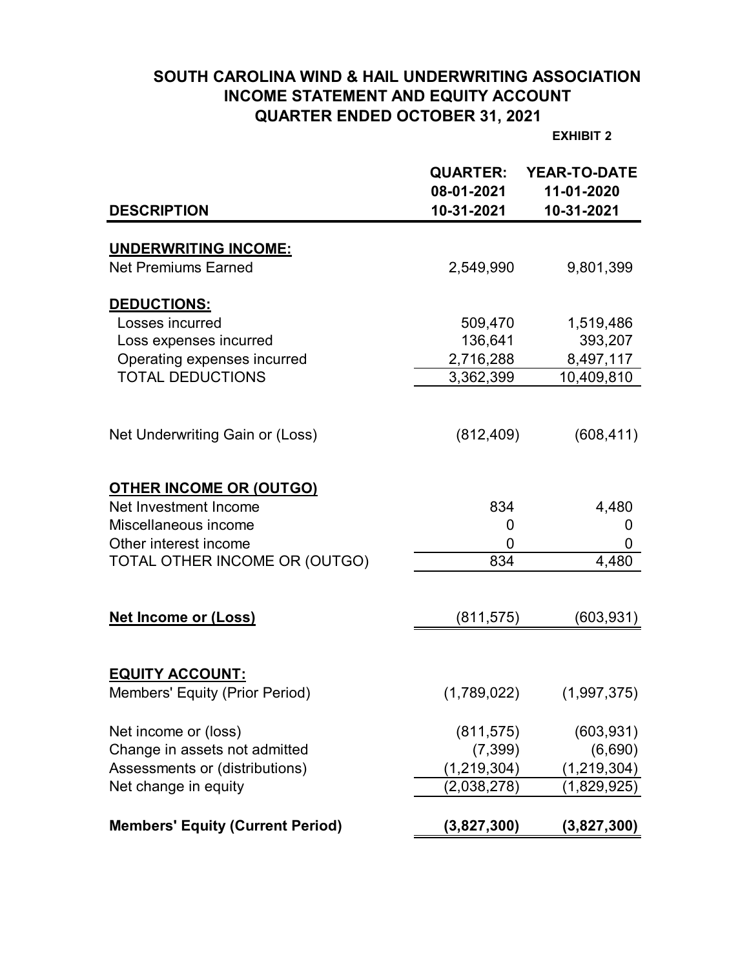# **SOUTH CAROLINA WIND & HAIL UNDERWRITING ASSOCIATION INCOME STATEMENT AND EQUITY ACCOUNT QUARTER ENDED OCTOBER 31, 2021**

**EXHIBIT 2**

|                                         | <b>QUARTER:</b><br>08-01-2021 | <b>YEAR-TO-DATE</b><br>11-01-2020 |
|-----------------------------------------|-------------------------------|-----------------------------------|
| <b>DESCRIPTION</b>                      | 10-31-2021                    | 10-31-2021                        |
|                                         |                               |                                   |
| <b>UNDERWRITING INCOME:</b>             |                               |                                   |
| <b>Net Premiums Earned</b>              | 2,549,990                     | 9,801,399                         |
| DEDUCTIONS:                             |                               |                                   |
| Losses incurred                         | 509,470                       | 1,519,486                         |
| Loss expenses incurred                  | 136,641                       | 393,207                           |
| Operating expenses incurred             | 2,716,288                     | 8,497,117                         |
| <b>TOTAL DEDUCTIONS</b>                 | 3,362,399                     | 10,409,810                        |
|                                         |                               |                                   |
|                                         |                               |                                   |
| Net Underwriting Gain or (Loss)         | (812, 409)                    | (608, 411)                        |
|                                         |                               |                                   |
| <b>OTHER INCOME OR (OUTGO)</b>          |                               |                                   |
| Net Investment Income                   | 834                           | 4,480                             |
| Miscellaneous income                    | 0                             | 0                                 |
| Other interest income                   | 0                             | 0                                 |
| TOTAL OTHER INCOME OR (OUTGO)           | 834                           | 4,480                             |
|                                         |                               |                                   |
|                                         |                               |                                   |
| <b>Net Income or (Loss)</b>             | (811, 575)                    | (603, 931)                        |
|                                         |                               |                                   |
| <b>EQUITY ACCOUNT:</b>                  |                               |                                   |
| Members' Equity (Prior Period)          | (1,789,022)                   | (1,997,375)                       |
|                                         |                               |                                   |
| Net income or (loss)                    | (811, 575)                    | (603, 931)                        |
| Change in assets not admitted           | (7, 399)                      | (6,690)                           |
| Assessments or (distributions)          | (1, 219, 304)                 | (1, 219, 304)                     |
| Net change in equity                    | (2,038,278)                   | (1,829,925)                       |
|                                         |                               |                                   |
| <b>Members' Equity (Current Period)</b> | (3,827,300)                   | (3,827,300)                       |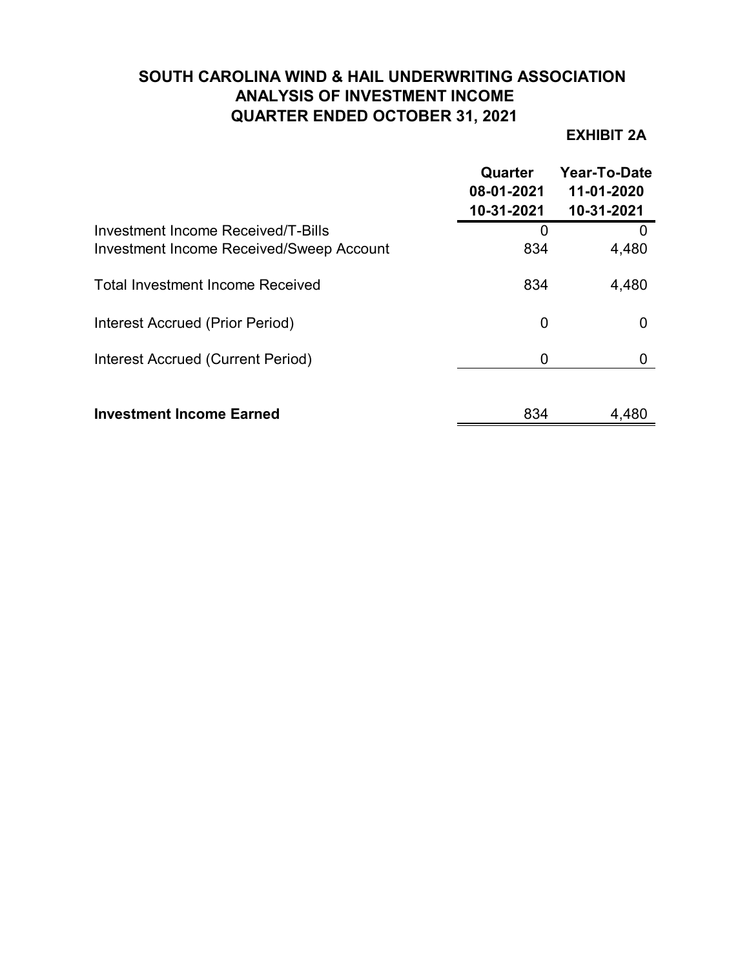# **SOUTH CAROLINA WIND & HAIL UNDERWRITING ASSOCIATION ANALYSIS OF INVESTMENT INCOME QUARTER ENDED OCTOBER 31, 2021**

## **EXHIBIT 2A**

|                                                                                       | Quarter<br>08-01-2021<br>10-31-2021 | Year-To-Date<br>11-01-2020<br>10-31-2021 |
|---------------------------------------------------------------------------------------|-------------------------------------|------------------------------------------|
| Investment Income Received/T-Bills<br><b>Investment Income Received/Sweep Account</b> | O<br>834                            | 4,480                                    |
| <b>Total Investment Income Received</b>                                               | 834                                 | 4,480                                    |
| Interest Accrued (Prior Period)                                                       | 0                                   |                                          |
| Interest Accrued (Current Period)                                                     | 0                                   |                                          |
| <b>Investment Income Earned</b>                                                       | 834                                 | 4,480                                    |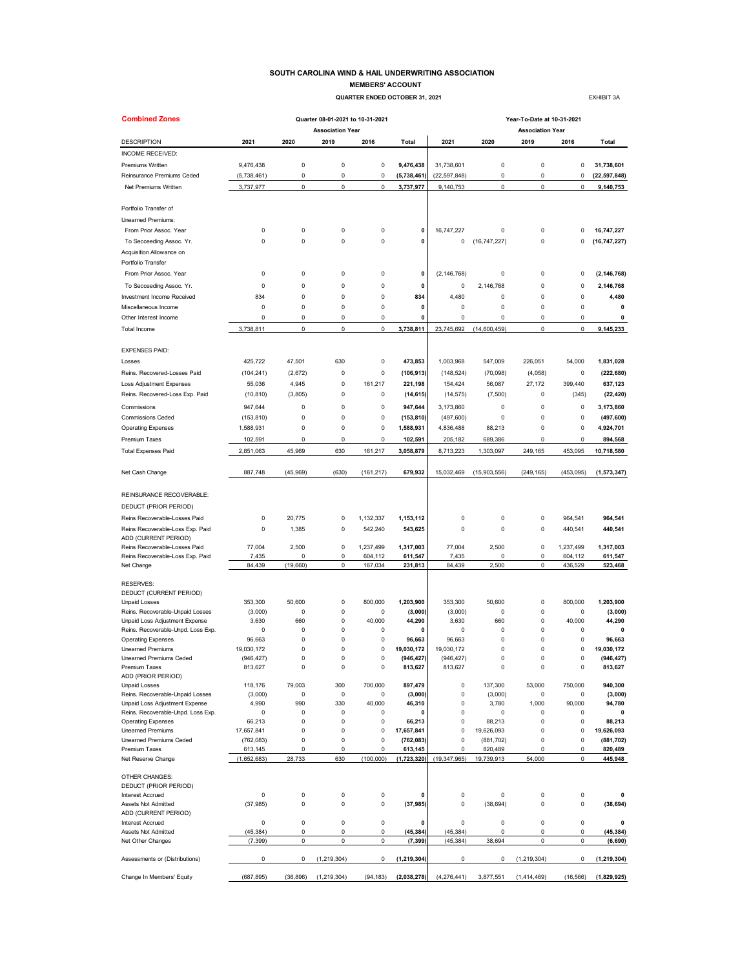#### **SOUTH CAROLINA WIND & HAIL UNDERWRITING ASSOCIATION MEMBERS' ACCOUNT**

 **QUARTER ENDED OCTOBER 31, 2021 EXHIBIT 3A** 

| <b>Combined Zones</b>                                    |                       |                     | Quarter 08-01-2021 to 10-31-2021 |                  |                       | Year-To-Date at 10-31-2021 |                       |                                 |                        |                      |  |  |  |
|----------------------------------------------------------|-----------------------|---------------------|----------------------------------|------------------|-----------------------|----------------------------|-----------------------|---------------------------------|------------------------|----------------------|--|--|--|
| <b>DESCRIPTION</b>                                       | 2021                  | 2020                | <b>Association Year</b><br>2019  | 2016             | <b>Total</b>          | 2021                       | 2020                  | <b>Association Year</b><br>2019 | 2016                   | Total                |  |  |  |
| INCOME RECEIVED:                                         |                       |                     |                                  |                  |                       |                            |                       |                                 |                        |                      |  |  |  |
| Premiums Written                                         | 9,476,438             | 0                   | 0                                | $\pmb{0}$        | 9,476,438             | 31,738,601                 | 0                     | $\pmb{0}$                       | 0                      | 31,738,601           |  |  |  |
| Reinsurance Premiums Ceded                               | (5,738,461)           | 0                   | 0                                | 0                | (5,738,461)           | (22, 597, 848)             | 0                     | 0                               | 0                      | (22, 597, 848)       |  |  |  |
| Net Premiums Written                                     | 3,737,977             | 0                   | 0                                | $\mathbf 0$      | 3,737,977             | 9,140,753                  | 0                     | $\pmb{0}$                       | $\mathbf 0$            | 9,140,753            |  |  |  |
|                                                          |                       |                     |                                  |                  |                       |                            |                       |                                 |                        |                      |  |  |  |
| Portfolio Transfer of                                    |                       |                     |                                  |                  |                       |                            |                       |                                 |                        |                      |  |  |  |
| <b>Unearned Premiums:</b>                                |                       |                     |                                  |                  |                       |                            |                       |                                 |                        |                      |  |  |  |
| From Prior Assoc. Year                                   | 0                     | 0                   | 0                                | 0                | 0                     | 16,747,227                 | 0                     | 0                               | 0                      | 16,747,227           |  |  |  |
| To Secceeding Assoc. Yr.                                 | 0                     | 0                   | 0                                | $\pmb{0}$        | 0                     | 0                          | (16, 747, 227)        | $\mathbf 0$                     | 0                      | (16, 747, 227)       |  |  |  |
| Acquisition Allowance on                                 |                       |                     |                                  |                  |                       |                            |                       |                                 |                        |                      |  |  |  |
| Portfolio Transfer                                       |                       |                     |                                  |                  |                       |                            |                       |                                 |                        |                      |  |  |  |
| From Prior Assoc. Year                                   | 0                     | 0                   | 0                                | $\pmb{0}$        | 0                     | (2, 146, 768)              | 0                     | 0                               | 0                      | (2, 146, 768)        |  |  |  |
| To Secceeding Assoc. Yr.                                 | 0                     | 0                   | 0                                | $\pmb{0}$        | 0                     | 0                          | 2,146,768             | $\mathbf 0$                     | $\pmb{0}$              | 2,146,768            |  |  |  |
| Investment Income Received                               | 834                   | 0                   | $\mathbf 0$                      | 0                | 834                   | 4,480                      | 0                     | 0                               | 0                      | 4,480                |  |  |  |
| Miscellaneous Income                                     | 0                     | 0                   | 0                                | 0                | 0                     | 0                          | 0                     | 0                               | 0                      | 0                    |  |  |  |
| Other Interest Income                                    | 0                     | 0                   | 0                                | 0                | 0                     | 0                          | 0                     | 0                               | 0                      | 0                    |  |  |  |
| <b>Total Income</b>                                      | 3,738,811             | 0                   | 0                                | $\pmb{0}$        | 3,738,811             | 23,745,692                 | (14,600,459)          | 0                               | 0                      | 9,145,233            |  |  |  |
| <b>EXPENSES PAID:</b>                                    |                       |                     |                                  |                  |                       |                            |                       |                                 |                        |                      |  |  |  |
| Losses                                                   | 425,722               | 47,501              | 630                              | $\pmb{0}$        | 473,853               | 1,003,968                  | 547,009               | 226,051                         | 54,000                 | 1,831,028            |  |  |  |
| Reins. Recovered-Losses Paid                             | (104, 241)            | (2,672)             | 0                                | 0                | (106, 913)            | (148, 524)                 | (70,098)              | (4,058)                         | 0                      | (222, 680)           |  |  |  |
| <b>Loss Adjustment Expenses</b>                          | 55,036                | 4,945               | 0                                | 161,217          | 221,198               | 154,424                    | 56,087                | 27,172                          | 399,440                | 637,123              |  |  |  |
| Reins. Recovered-Loss Exp. Paid                          | (10, 810)             | (3,805)             | 0                                | 0                | (14, 615)             | (14, 575)                  | (7,500)               | 0                               | (345)                  | (22, 420)            |  |  |  |
| Commissions                                              | 947,644               | 0                   | $\mathbf 0$                      | $\pmb{0}$        | 947,644               | 3,173,860                  | 0                     | 0                               | 0                      | 3,173,860            |  |  |  |
| <b>Commissions Ceded</b>                                 | (153, 810)            | 0                   | $\mathbf 0$                      | $\pmb{0}$        | (153, 810)            | (497, 600)                 | 0                     | 0                               | 0                      | (497, 600)           |  |  |  |
| <b>Operating Expenses</b>                                | 1,588,931             | 0                   | 0                                | 0                | 1,588,931             | 4,836,488                  | 88,213                | 0                               | 0                      | 4,924,701            |  |  |  |
| Premium Taxes                                            | 102,591               | 0                   | 0                                | 0                | 102,591               | 205,182                    | 689,386               | 0                               | 0                      | 894,568              |  |  |  |
| <b>Total Expenses Paid</b>                               | 2,851,063             | 45,969              | 630                              | 161,217          | 3,058,879             | 8,713,223                  | 1,303,097             | 249,165                         | 453,095                | 10,718,580           |  |  |  |
|                                                          |                       |                     |                                  |                  |                       |                            |                       |                                 |                        |                      |  |  |  |
| Net Cash Change                                          | 887,748               | (45,969)            | (630)                            | (161, 217)       | 679,932               | 15,032,469                 | (15,903,556)          | (249, 165)                      | (453,095)              | (1, 573, 347)        |  |  |  |
| REINSURANCE RECOVERABLE:                                 |                       |                     |                                  |                  |                       |                            |                       |                                 |                        |                      |  |  |  |
| DEDUCT (PRIOR PERIOD)                                    |                       |                     |                                  |                  |                       |                            |                       |                                 |                        |                      |  |  |  |
| Reins Recoverable-Losses Paid                            | 0                     | 20,775              | 0                                | 1,132,337        | 1,153,112             | 0                          | 0                     | 0                               | 964,541                | 964,541              |  |  |  |
| Reins Recoverable-Loss Exp. Paid                         | 0                     | 1,385               | 0                                | 542,240          | 543,625               | 0                          | 0                     | 0                               | 440,541                | 440,541              |  |  |  |
| ADD (CURRENT PERIOD)                                     |                       |                     |                                  |                  |                       |                            |                       |                                 |                        |                      |  |  |  |
| Reins Recoverable-Losses Paid                            | 77,004                | 2,500               | 0                                | 1,237,499        | 1,317,003             | 77,004                     | 2,500                 | 0                               | 1,237,499              | 1,317,003            |  |  |  |
| Reins Recoverable-Loss Exp. Paid                         | 7,435                 | 0                   | 0                                | 604,112          | 611,547               | 7,435                      | 0                     | 0                               | 604,112                | 611,547              |  |  |  |
| Net Change                                               | 84,439                | (19, 660)           | 0                                | 167,034          | 231,813               | 84,439                     | 2,500                 | 0                               | 436,529                | 523,468              |  |  |  |
| <b>RESERVES:</b>                                         |                       |                     |                                  |                  |                       |                            |                       |                                 |                        |                      |  |  |  |
| DEDUCT (CURRENT PERIOD)                                  |                       |                     |                                  |                  |                       |                            |                       |                                 |                        |                      |  |  |  |
| <b>Unpaid Losses</b>                                     | 353,300               | 50,600              | 0                                | 800,000          | 1,203,900             | 353,300                    | 50,600                | 0                               | 800,000                | 1,203,900            |  |  |  |
| Reins. Recoverable-Unpaid Losses                         | (3,000)               | 0                   | $\mathbf 0$                      | 0                | (3,000)               | (3,000)                    | 0                     | $\mathbf 0$                     | 0                      | (3,000)              |  |  |  |
| Unpaid Loss Adjustment Expense                           | 3,630                 | 660                 | 0                                | 40,000           | 44,290                | 3,630                      | 660                   | 0                               | 40,000                 | 44,290               |  |  |  |
| Reins. Recoverable-Unpd. Loss Exp.                       | 0                     | 0<br>$\Omega$       | 0<br>$\Omega$                    | 0<br>$\pmb{0}$   | 0<br>96,663           | 0                          | 0<br>$\mathbf 0$      | 0<br>$\mathbf 0$                | 0                      | 0                    |  |  |  |
| <b>Operating Expenses</b><br><b>Unearned Premiums</b>    | 96,663<br>19,030,172  | $\mathbf 0$         | $\mathbf 0$                      | 0                | 19,030,172            | 96,663<br>19,030,172       | $\mathbf 0$           | $\mathbf 0$                     | 0<br>0                 | 96,663<br>19,030,172 |  |  |  |
| Unearned Premiums Ceded                                  | (946, 427)            | $\Omega$            | $\mathbf 0$                      | $\Omega$         | (946, 427)            | (946, 427)                 | $\mathbf 0$           | $\Omega$                        | 0                      | (946, 427)           |  |  |  |
| Premium Taxes                                            | 813,627               | 0                   | 0                                | $\pmb{0}$        | 813,627               | 813,627                    | 0                     | $\pmb{0}$                       | $\mathsf 0$            | 813,627              |  |  |  |
| ADD (PRIOR PERIOD)                                       |                       |                     |                                  |                  |                       |                            |                       |                                 |                        |                      |  |  |  |
| <b>Unpaid Losses</b><br>Reins. Recoverable-Unpaid Losses | 118,176<br>(3,000)    | 79,003<br>0         | 300<br>0                         | 700,000<br>0     | 897.479<br>(3,000)    | $\pmb{0}$<br>$\pmb{0}$     | 137,300<br>(3,000)    | 53,000<br>0                     | 750,000<br>0           | 940.300<br>(3,000)   |  |  |  |
| Unpaid Loss Adjustment Expense                           | 4,990                 | 990                 | 330                              | 40,000           | 46,310                | $\pmb{0}$                  | 3,780                 | 1,000                           | 90.000                 | 94,780               |  |  |  |
| Reins. Recoverable-Unpd. Loss Exp.                       | 0                     | 0                   | 0                                | 0                | 0                     | $\pmb{0}$                  | 0                     | 0                               | 0                      | 0                    |  |  |  |
| <b>Operating Expenses</b>                                | 66,213                | $\mathbf 0$         | 0                                | $\pmb{0}$        | 66,213                | $\pmb{0}$                  | 88,213                | 0                               | $\pmb{0}$              | 88,213               |  |  |  |
| <b>Unearned Premiums</b>                                 | 17,657,841            | 0                   | 0                                | 0                | 17,657,841            | 0                          | 19,626,093            | 0                               | 0                      | 19,626,093           |  |  |  |
| Unearned Premiums Ceded<br>Premium Taxes                 | (762, 083)<br>613,145 | $\overline{0}$<br>0 | 0<br>0                           | 0                | (762, 083)<br>613,145 | $\mathbf 0$<br>$\mathbf 0$ | (881, 702)<br>820,489 | $\mathbf 0$                     | 0                      | (881, 702)           |  |  |  |
| Net Reserve Change                                       | (1,652,683)           | 28,733              | 630                              | 0<br>(100,000)   | (1,723,320)           | (19, 347, 965)             | 19,739,913            | 0<br>54,000                     | 0<br>0                 | 820,489<br>445,948   |  |  |  |
|                                                          |                       |                     |                                  |                  |                       |                            |                       |                                 |                        |                      |  |  |  |
| OTHER CHANGES:                                           |                       |                     |                                  |                  |                       |                            |                       |                                 |                        |                      |  |  |  |
| DEDUCT (PRIOR PERIOD)                                    |                       |                     |                                  |                  |                       |                            |                       |                                 |                        |                      |  |  |  |
| <b>Interest Accrued</b><br>Assets Not Admitted           | 0<br>(37, 985)        | 0<br>0              | 0<br>0                           | 0<br>$\mathbf 0$ | 0<br>(37, 985)        | $\pmb{0}$<br>$\pmb{0}$     | 0<br>(38, 694)        | $\pmb{0}$<br>$\mathsf 0$        | $\pmb{0}$<br>$\pmb{0}$ | 0<br>(38, 694)       |  |  |  |
| ADD (CURRENT PERIOD)                                     |                       |                     |                                  |                  |                       |                            |                       |                                 |                        |                      |  |  |  |
| <b>Interest Accrued</b>                                  | 0                     | 0                   | 0                                | 0                | 0                     | $\pmb{0}$                  | 0                     | $\pmb{0}$                       | $\pmb{0}$              | 0                    |  |  |  |
| Assets Not Admitted                                      | (45, 384)             | 0                   | 0                                | 0                | (45, 384)             | (45, 384)                  | 0                     | 0                               | $\mathsf 0$            | (45, 384)            |  |  |  |
| Net Other Changes                                        | (7, 399)              | 0                   | 0                                | 0                | (7, 399)              | (45, 384)                  | 38,694                | 0                               | $\pmb{0}$              | (6, 690)             |  |  |  |
| Assessments or (Distributions)                           | 0                     | 0                   | (1, 219, 304)                    | 0                | (1, 219, 304)         | 0                          | 0                     | (1, 219, 304)                   | 0                      | (1, 219, 304)        |  |  |  |
| Change In Members' Equity                                | (687, 895)            | (36, 896)           | (1, 219, 304)                    | (94, 183)        | (2,038,278)           | (4, 276, 441)              | 3,877,551             | (1,414,469)                     | (16, 566)              | (1,829,925)          |  |  |  |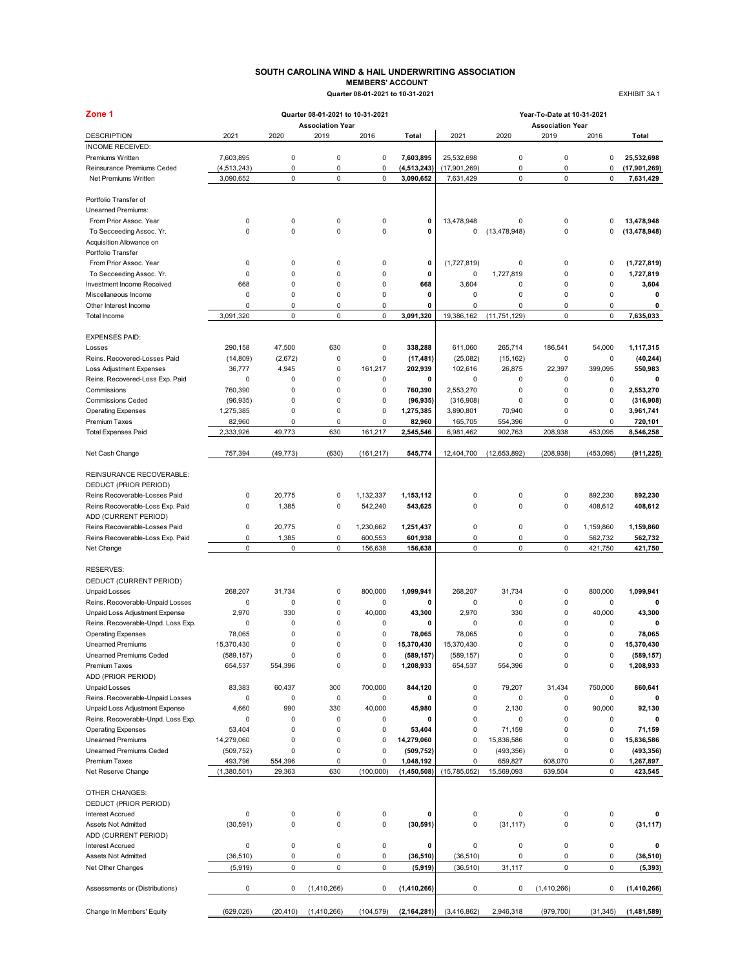### **SOUTH CAROLINA WIND & HAIL UNDERWRITING ASSOCIATION MEMBERS' ACCOUNT Quarter 08-01-2021 to 10-31-2021** EXHIBIT 3A 1

| Zone 1                                   |                       |           | Quarter 08-01-2021 to 10-31-2021 |                  |                         | Year-To-Date at 10-31-2021 |                |                                 |           |                         |
|------------------------------------------|-----------------------|-----------|----------------------------------|------------------|-------------------------|----------------------------|----------------|---------------------------------|-----------|-------------------------|
| <b>DESCRIPTION</b>                       | 2021                  | 2020      | <b>Association Year</b><br>2019  | 2016             | Total                   | 2021                       | 2020           | <b>Association Year</b><br>2019 | 2016      | Total                   |
| INCOME RECEIVED:                         |                       |           |                                  |                  |                         |                            |                |                                 |           |                         |
| Premiums Written                         | 7,603,895             | 0         | $\pmb{0}$                        | 0                | 7,603,895               | 25,532,698                 | 0              | 0                               | 0         | 25,532,698              |
| Reinsurance Premiums Ceded               | (4,513,243)           | 0         | $\mathsf 0$                      | 0                | (4, 513, 243)           | (17,901,269)               | 0              | 0                               | 0         | (17, 901, 269)          |
| Net Premiums Written                     | 3,090,652             | 0         | $\mathsf 0$                      | 0                | 3,090,652               | 7,631,429                  | $\mathsf 0$    | 0                               | 0         | 7,631,429               |
| Portfolio Transfer of                    |                       |           |                                  |                  |                         |                            |                |                                 |           |                         |
| Unearned Premiums:                       |                       |           |                                  |                  |                         |                            |                |                                 |           |                         |
| From Prior Assoc. Year                   | 0                     | 0         | $\pmb{0}$                        | 0                | 0                       | 13,478,948                 | 0              | 0                               | 0         | 13,478,948              |
| To Secceeding Assoc. Yr.                 | 0                     | 0         | $\mathbf 0$                      | $\mathbf 0$      | 0                       | 0                          | (13, 478, 948) | 0                               | 0         | (13, 478, 948)          |
| Acquisition Allowance on                 |                       |           |                                  |                  |                         |                            |                |                                 |           |                         |
| Portfolio Transfer                       |                       |           |                                  |                  |                         |                            |                |                                 |           |                         |
| From Prior Assoc. Year                   | 0                     | 0         | $\pmb{0}$                        | 0                | 0                       | (1,727,819)                | 0              | 0                               | 0         | (1,727,819)             |
| To Secceeding Assoc. Yr.                 | 0                     | 0         | $\mathbf 0$                      | 0                | 0                       | 0                          | 1,727,819      | 0                               | 0         | 1,727,819               |
| Investment Income Received               | 668                   | 0         | $\mathbf 0$                      | 0                | 668                     | 3,604                      | $\mathbf 0$    | 0                               | 0         | 3,604                   |
| Miscellaneous Income                     | 0                     | 0         | $\pmb{0}$                        | $\mathbf 0$      | 0                       | 0                          | $\mathbf 0$    | 0                               | 0         | 0                       |
| Other Interest Income                    | 0                     | 0         | $\pmb{0}$                        | 0                | 0                       | 0                          | 0              | 0                               | 0         | 0                       |
| Total Income                             | 3,091,320             | 0         | 0                                | 0                | 3,091,320               | 19,386,162                 | (11, 751, 129) | 0                               | 0         | 7,635,033               |
| <b>EXPENSES PAID:</b>                    |                       |           |                                  |                  |                         |                            |                |                                 |           |                         |
| Losses                                   | 290,158               | 47,500    | 630                              | 0                | 338.288                 | 611,060                    | 265,714        | 186,541                         | 54,000    | 1,117,315               |
| Reins, Recovered-Losses Paid             | (14, 809)             | (2,672)   | $\pmb{0}$                        | 0                | (17, 481)               | (25,082)                   | (15, 162)      | $\pmb{0}$                       | 0         | (40, 244)               |
| <b>Loss Adjustment Expenses</b>          | 36,777                | 4,945     | $\pmb{0}$                        | 161,217          | 202,939                 | 102,616                    | 26,875         | 22,397                          | 399,095   | 550,983                 |
| Reins. Recovered-Loss Exp. Paid          | 0                     | $\Omega$  | $\pmb{0}$                        | 0                | 0                       | 0                          | 0              | 0                               | 0         | 0                       |
| Commissions                              | 760,390               | 0         | $\pmb{0}$                        | 0                | 760,390                 | 2,553,270                  | $\mathbf 0$    | 0                               | 0         | 2,553,270               |
| <b>Commissions Ceded</b>                 | (96, 935)             | 0         | $\pmb{0}$                        | 0                | (96, 935)               | (316,908)                  | 0              | $\pmb{0}$                       | 0         | (316,908)               |
| <b>Operating Expenses</b>                | 1,275,385             | 0         | 0                                | $\mathbf 0$      | 1,275,385               | 3,890,801                  | 70,940         | 0                               | 0         | 3,961,741               |
| <b>Premium Taxes</b>                     | 82,960                | 0         | $\pmb{0}$                        | 0                | 82,960                  | 165,705                    | 554,396        | 0                               | 0         | 720,101                 |
| <b>Total Expenses Paid</b>               | 2,333,926             | 49,773    | 630                              | 161,217          | 2,545,546               | 6,981,462                  | 902,763        | 208,938                         | 453,095   | 8,546,258               |
| Net Cash Change                          | 757,394               | (49, 773) | (630)                            | (161, 217)       | 545,774                 | 12,404,700                 | (12,653,892)   | (208, 938)                      | (453,095) | (911, 225)              |
|                                          |                       |           |                                  |                  |                         |                            |                |                                 |           |                         |
| REINSURANCE RECOVERABLE:                 |                       |           |                                  |                  |                         |                            |                |                                 |           |                         |
| DEDUCT (PRIOR PERIOD)                    |                       |           |                                  |                  |                         |                            |                |                                 |           |                         |
| Reins Recoverable-Losses Paid            | 0                     | 20,775    | 0                                | 1,132,337        | 1,153,112               | 0                          | 0              | 0                               | 892,230   | 892,230                 |
| Reins Recoverable-Loss Exp. Paid         | 0                     | 1,385     | $\pmb{0}$                        | 542,240          | 543,625                 | 0                          | $\mathbf 0$    | $\pmb{0}$                       | 408,612   | 408,612                 |
| ADD (CURRENT PERIOD)                     |                       |           |                                  |                  |                         |                            |                |                                 |           |                         |
| Reins Recoverable-Losses Paid            | 0                     | 20,775    | $\mathsf 0$                      | 1,230,662        | 1,251,437               | 0                          | 0              | 0                               | 1,159,860 | 1,159,860               |
| Reins Recoverable-Loss Exp. Paid         | 0                     | 1,385     | 0                                | 600,553          | 601,938                 | 0                          | 0              | 0                               | 562,732   | 562,732                 |
| Net Change                               | $\mathbf 0$           | 0         | $\mathsf 0$                      | 156,638          | 156,638                 | 0                          | 0              | 0                               | 421,750   | 421,750                 |
| <b>RESERVES:</b>                         |                       |           |                                  |                  |                         |                            |                |                                 |           |                         |
| DEDUCT (CURRENT PERIOD)                  |                       |           |                                  |                  |                         |                            |                |                                 |           |                         |
| <b>Unpaid Losses</b>                     | 268,207               | 31,734    | $\pmb{0}$                        | 800.000          | 1,099,941               | 268,207                    | 31,734         | 0                               | 800.000   | 1,099,941               |
| Reins. Recoverable-Unpaid Losses         | 0                     | 0         | $\mathsf 0$                      | 0                | 0                       | 0                          | 0              | 0                               | 0         | 0                       |
| Unpaid Loss Adjustment Expense           | 2,970                 | 330       | $\pmb{0}$                        | 40,000           | 43,300                  | 2,970                      | 330            | $\pmb{0}$                       | 40,000    | 43,300                  |
| Reins. Recoverable-Unpd. Loss Exp.       | 0                     | 0         | $\mathbf 0$                      | 0                | 0                       | 0                          | $\mathbf 0$    | 0                               | 0         | 0                       |
| <b>Operating Expenses</b>                | 78,065                | $\Omega$  | $\mathbf 0$                      | 0                | 78,065                  | 78,065                     | $\Omega$       | 0                               | 0         | 78,065                  |
| <b>Unearned Premiums</b>                 | 15,370,430            | 0         | $\mathbf 0$                      | 0                | 15,370,430              | 15,370,430                 | $\mathbf 0$    | 0                               | 0         | 15,370,430              |
|                                          |                       |           |                                  |                  |                         |                            |                |                                 |           |                         |
| Unearned Premiums Ceded<br>Premium Taxes | (589, 157)<br>654,537 | 554,396   | O<br>$\pmb{0}$                   | 0<br>$\mathbf 0$ | (589, 157)<br>1,208,933 | (589,157)<br>654,537       | 554,396        | o<br>0                          | 0<br>0    | (589, 157)<br>1,208,933 |
| ADD (PRIOR PERIOD)                       |                       |           |                                  |                  |                         |                            |                |                                 |           |                         |
| <b>Unpaid Losses</b>                     | 83,383                | 60,437    | 300                              | 700,000          | 844,120                 | 0                          | 79,207         | 31,434                          | 750,000   | 860,641                 |
| Reins. Recoverable-Unpaid Losses         | 0                     | 0         | $\pmb{0}$                        | 0                | 0                       | 0                          | 0              | 0                               | 0         | 0                       |
| Unpaid Loss Adjustment Expense           | 4,660                 | 990       | 330                              | 40,000           | 45,980                  | 0                          | 2,130          | 0                               | 90,000    | 92,130                  |
| Reins. Recoverable-Unpd. Loss Exp.       | 0                     | 0         | 0                                | 0                | 0                       | 0                          | 0              | $\pmb{0}$                       | 0         | 0                       |
| <b>Operating Expenses</b>                | 53,404                | 0         | $\pmb{0}$                        | 0                | 53,404                  | 0                          | 71,159         | 0                               | 0         | 71,159                  |
| <b>Unearned Premiums</b>                 | 14,279,060            | 0         | $\pmb{0}$                        | 0                | 14,279,060              | 0                          | 15,836,586     | 0                               | 0         | 15,836,586              |
| <b>Unearned Premiums Ceded</b>           | (509, 752)            | 0         | $\pmb{0}$                        | 0                | (509, 752)              | 0                          | (493, 356)     | 0                               | 0         | (493, 356)              |
| <b>Premium Taxes</b>                     | 493,796               | 554,396   | 0                                | 0                | 1,048,192               | 0                          | 659,827        | 608,070                         | 0         | 1,267,897               |
| Net Reserve Change                       | (1,380,501)           | 29,363    | 630                              | (100, 000)       | (1,450,508)             | (15,785,052)               | 15,569,093     | 639,504                         | 0         | 423,545                 |
| OTHER CHANGES:                           |                       |           |                                  |                  |                         |                            |                |                                 |           |                         |
| DEDUCT (PRIOR PERIOD)                    |                       |           |                                  |                  |                         |                            |                |                                 |           |                         |
| Interest Accrued                         | 0                     | 0         | 0                                | 0                | 0                       | 0                          | 0              | 0                               | 0         | 0                       |
| Assets Not Admitted                      | (30, 591)             | 0         | $\mathsf 0$                      | 0                | (30, 591)               | 0                          | (31, 117)      | 0                               | 0         | (31, 117)               |
| ADD (CURRENT PERIOD)                     |                       |           |                                  |                  |                         |                            |                |                                 |           |                         |
| Interest Accrued                         | 0                     | 0         | 0                                | $\mathsf 0$      | 0                       | 0                          | 0              | 0                               | 0         | 0                       |
| Assets Not Admitted                      | (36, 510)             | 0         | 0                                | 0                | (36, 510)               | (36, 510)                  | 0              | 0                               | 0         | (36, 510)               |
| Net Other Changes                        | (5,919)               | 0         | 0                                | 0                | (5,919)                 | (36, 510)                  | 31,117         | 0                               | 0         | (5, 393)                |
| Assessments or (Distributions)           | 0                     | 0         |                                  | 0                | (1, 410, 266)           | 0                          |                |                                 | 0         |                         |
|                                          |                       |           | (1,410,266)                      |                  |                         |                            | 0              | (1,410,266)                     |           | (1, 410, 266)           |
| Change In Members' Equity                | (629, 026)            | (20, 410) | (1,410,266)                      | (104, 579)       | (2, 164, 281)           | (3,416,862)                | 2,946,318      | (979, 700)                      | (31, 345) | (1,481,589)             |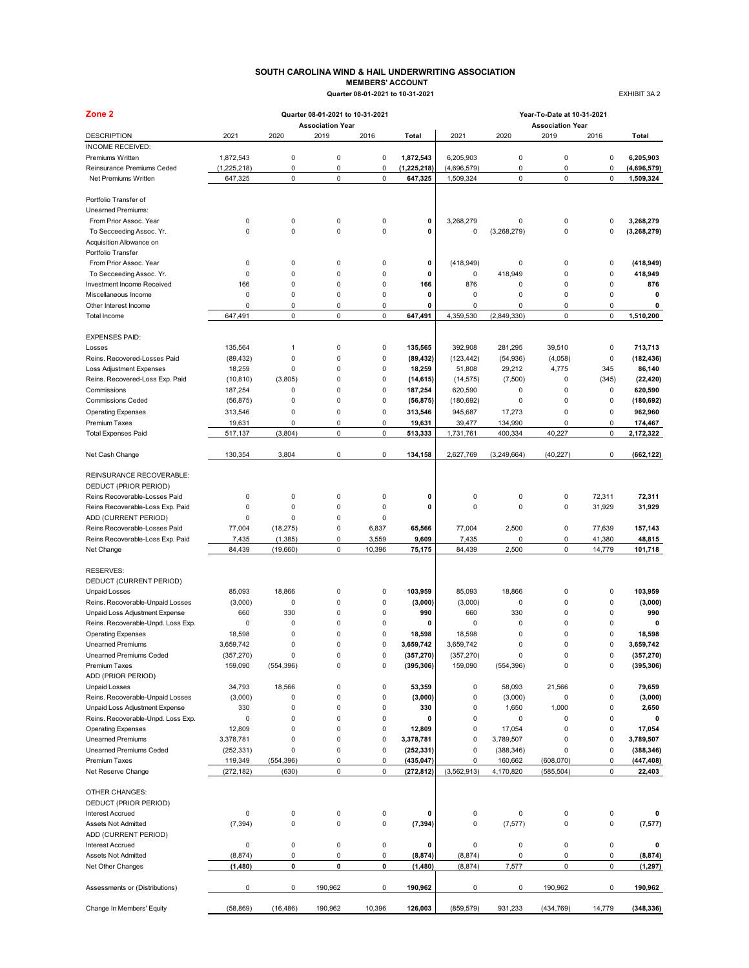### **SOUTH CAROLINA WIND & HAIL UNDERWRITING ASSOCIATION MEMBERS' ACCOUNT Quarter 08-01-2021 to 10-31-2021** EXHIBIT 3A 2

| Zone <sub>2</sub>                              |             |             | Quarter 08-01-2021 to 10-31-2021 |                |               | Year-To-Date at 10-31-2021 |               |                                 |             |               |  |  |
|------------------------------------------------|-------------|-------------|----------------------------------|----------------|---------------|----------------------------|---------------|---------------------------------|-------------|---------------|--|--|
| <b>DESCRIPTION</b>                             | 2021        | 2020        | <b>Association Year</b><br>2019  | 2016           | Total         | 2021                       | 2020          | <b>Association Year</b><br>2019 | 2016        | Total         |  |  |
| <b>INCOME RECEIVED:</b>                        |             |             |                                  |                |               |                            |               |                                 |             |               |  |  |
| Premiums Written                               | 1,872,543   | 0           | $\mathbf 0$                      | 0              | 1,872,543     | 6,205,903                  | 0             | 0                               | 0           | 6,205,903     |  |  |
| Reinsurance Premiums Ceded                     | (1,225,218) | 0           | $\mathbf 0$                      | 0              | (1, 225, 218) | (4,696,579)                | 0             | 0                               | 0           | (4,696,579)   |  |  |
| Net Premiums Written                           | 647,325     | 0           | $\pmb{0}$                        | 0              | 647,325       | 1,509,324                  | $\mathsf 0$   | 0                               | 0           | 1,509,324     |  |  |
| Portfolio Transfer of                          |             |             |                                  |                |               |                            |               |                                 |             |               |  |  |
| Unearned Premiums:                             |             |             |                                  |                |               |                            |               |                                 |             |               |  |  |
| From Prior Assoc. Year                         | 0           | 0           | $\mathbf 0$                      | 0              | 0             | 3,268,279                  | 0             | 0                               | 0           | 3,268,279     |  |  |
| To Secceeding Assoc. Yr.                       | 0           | $\mathbf 0$ | $\mathbf 0$                      | 0              | 0             | 0                          | (3,268,279)   | 0                               | 0           | (3, 268, 279) |  |  |
| Acquisition Allowance on<br>Portfolio Transfer |             |             |                                  |                |               |                            |               |                                 |             |               |  |  |
| From Prior Assoc. Year                         | 0           | 0           | 0                                | 0              | 0             | (418, 949)                 | 0             | 0                               | 0           | (418, 949)    |  |  |
| To Secceeding Assoc. Yr.                       | 0           | $\mathbf 0$ | $\pmb{0}$                        | $\overline{0}$ | 0             | 0                          | 418,949       | 0                               | 0           | 418,949       |  |  |
| Investment Income Received                     | 166         | $\mathbf 0$ | $\pmb{0}$                        | 0              | 166           | 876                        | 0             | 0                               | 0           | 876           |  |  |
| Miscellaneous Income                           | 0           | 0           | $\pmb{0}$                        | 0              | 0             | 0                          | 0             | 0                               | 0           | $\mathbf 0$   |  |  |
| Other Interest Income                          | 0           | 0           | $\mathbf 0$                      | 0              | $\mathbf 0$   | 0                          | $\mathbf 0$   | 0                               | 0           | $\mathbf 0$   |  |  |
| Total Income                                   | 647,491     | 0           | $\mathbf 0$                      | 0              | 647,491       | 4,359,530                  | (2,849,330)   | 0                               | 0           | 1,510,200     |  |  |
| <b>EXPENSES PAID:</b>                          |             |             |                                  |                |               |                            |               |                                 |             |               |  |  |
| Losses                                         | 135,564     | 1           | $\mathbf 0$                      | 0              | 135.565       | 392,908                    | 281,295       | 39,510                          | 0           | 713.713       |  |  |
| Reins. Recovered-Losses Paid                   | (89, 432)   | 0           | $\mathbf 0$                      | 0              | (89, 432)     | (123, 442)                 | (54, 936)     | (4,058)                         | $\mathbf 0$ | (182, 436)    |  |  |
| <b>Loss Adjustment Expenses</b>                | 18,259      | 0           | $\pmb{0}$                        | 0              | 18,259        | 51,808                     | 29,212        | 4,775                           | 345         | 86,140        |  |  |
| Reins. Recovered-Loss Exp. Paid                | (10, 810)   | (3,805)     | $\pmb{0}$                        | 0              | (14, 615)     | (14, 575)                  | (7,500)       | 0                               | (345)       | (22, 420)     |  |  |
| Commissions                                    | 187,254     | 0           | $\mathbf 0$                      | 0              | 187,254       | 620,590                    | 0             | 0                               | 0           | 620,590       |  |  |
| <b>Commissions Ceded</b>                       | (56, 875)   | 0           | $\mathbf 0$                      | 0              | (56, 875)     | (180, 692)                 | 0             | 0                               | 0           | (180, 692)    |  |  |
|                                                |             |             |                                  |                |               |                            |               |                                 |             |               |  |  |
| <b>Operating Expenses</b>                      | 313,546     | 0           | $\pmb{0}$                        | 0              | 313,546       | 945,687                    | 17,273        | 0                               | 0           | 962,960       |  |  |
| <b>Premium Taxes</b>                           | 19,631      | 0           | $\mathbf 0$<br>$\pmb{0}$         | 0<br>0         | 19,631        | 39,477                     | 134,990       | 0                               | 0           | 174,467       |  |  |
| <b>Total Expenses Paid</b>                     | 517,137     | (3,804)     |                                  |                | 513,333       | 1,731,761                  | 400,334       | 40,227                          | 0           | 2,172,322     |  |  |
| Net Cash Change                                | 130,354     | 3,804       | $\pmb{0}$                        | 0              | 134,158       | 2,627,769                  | (3, 249, 664) | (40, 227)                       | 0           | (662, 122)    |  |  |
| REINSURANCE RECOVERABLE:                       |             |             |                                  |                |               |                            |               |                                 |             |               |  |  |
| DEDUCT (PRIOR PERIOD)                          |             |             |                                  |                |               |                            |               |                                 |             |               |  |  |
| Reins Recoverable-Losses Paid                  | 0           | 0           | $\mathbf 0$                      | 0              | 0             | 0                          | 0             | 0                               | 72,311      | 72,311        |  |  |
| Reins Recoverable-Loss Exp. Paid               | 0           | 0           | $\mathbf 0$                      | 0              | 0             | 0                          | $\mathbf 0$   | 0                               | 31,929      | 31,929        |  |  |
| ADD (CURRENT PERIOD)                           | 0           | 0           | $\mathbf 0$                      | 0              |               |                            |               |                                 |             |               |  |  |
| Reins Recoverable-Losses Paid                  | 77,004      | (18, 275)   | $\pmb{0}$                        | 6,837          | 65,566        | 77,004                     | 2,500         | 0                               | 77,639      | 157,143       |  |  |
| Reins Recoverable-Loss Exp. Paid               | 7,435       | (1, 385)    | $\pmb{0}$                        | 3,559          | 9,609         | 7,435                      | 0             | 0                               | 41,380      | 48,815        |  |  |
| Net Change                                     | 84,439      | (19,660)    | $\mathbf 0$                      | 10,396         | 75,175        | 84,439                     | 2,500         | 0                               | 14,779      | 101,718       |  |  |
| <b>RESERVES:</b>                               |             |             |                                  |                |               |                            |               |                                 |             |               |  |  |
| DEDUCT (CURRENT PERIOD)                        |             |             |                                  |                |               |                            |               |                                 |             |               |  |  |
| <b>Unpaid Losses</b>                           | 85,093      | 18,866      | $\pmb{0}$                        | 0              | 103,959       | 85,093                     | 18,866        | 0                               | 0           | 103,959       |  |  |
| Reins. Recoverable-Unpaid Losses               | (3,000)     | $\mathbf 0$ | $\mathbf 0$                      | 0              | (3,000)       | (3,000)                    | 0             | 0                               | 0           | (3,000)       |  |  |
| Unpaid Loss Adjustment Expense                 | 660         | 330         | $\mathbf 0$                      | 0              | 990           | 660                        | 330           | 0                               | 0           | 990           |  |  |
| Reins. Recoverable-Unpd. Loss Exp.             | 0           | 0           | 0                                | 0              | 0             | 0                          | 0             | 0                               | 0           | $\mathbf 0$   |  |  |
| <b>Operating Expenses</b>                      | 18,598      | $\mathbf 0$ | 0                                | 0              | 18,598        | 18,598                     | $\mathbf 0$   | 0                               | 0           | 18,598        |  |  |
| <b>Unearned Premiums</b>                       | 3,659,742   | $\mathbf 0$ | 0                                | $\Omega$       | 3,659,742     | 3,659,742                  | $\mathbf 0$   | 0                               | $\Omega$    | 3,659,742     |  |  |
| Unearned Premiums Ceded                        | (357, 270)  |             |                                  | 0              | (357, 270)    | (357, 270)                 |               |                                 | U           | (357, 270)    |  |  |
| Premium Taxes                                  | 159,090     | (554, 396)  | $\pmb{0}$                        | $\mathsf 0$    | (395, 306)    | 159,090                    | (554, 396)    | 0                               | $\pmb{0}$   | (395, 306)    |  |  |
| ADD (PRIOR PERIOD)                             |             |             |                                  |                |               |                            |               |                                 |             |               |  |  |
| <b>Unpaid Losses</b>                           | 34,793      | 18,566      | 0                                | 0              | 53,359        | 0                          | 58,093        | 21,566                          | 0           | 79,659        |  |  |
| Reins. Recoverable-Unpaid Losses               | (3,000)     | 0           | $\pmb{0}$                        | 0              | (3,000)       | 0                          | (3,000)       | 0                               | 0           | (3,000)       |  |  |
| Unpaid Loss Adjustment Expense                 | 330         | 0           | $\pmb{0}$                        | 0              | 330           | 0                          | 1,650         | 1,000                           | 0           | 2,650         |  |  |
| Reins. Recoverable-Unpd. Loss Exp.             | 0           | 0           | $\mathbf 0$                      | 0              | 0             | 0                          | 0             | 0                               | 0           | 0             |  |  |
| <b>Operating Expenses</b>                      | 12,809      | 0           | 0                                | 0              | 12,809        | 0                          | 17,054        | 0                               | 0           | 17,054        |  |  |
| <b>Unearned Premiums</b>                       | 3,378,781   | 0           | $\mathbf 0$                      | 0              | 3,378,781     | 0                          | 3,789,507     | 0                               | 0           | 3,789,507     |  |  |
| Unearned Premiums Ceded                        | (252, 331)  | 0           | 0                                | $\mathsf 0$    | (252, 331)    | 0                          | (388, 346)    | 0                               | 0           | (388, 346)    |  |  |
| Premium Taxes                                  | 119,349     | (554, 396)  | 0                                | 0              | (435, 047)    | 0                          | 160,662       | (608, 070)                      | 0           | (447, 408)    |  |  |
| Net Reserve Change                             | (272, 182)  | (630)       | $\pmb{0}$                        | 0              | (272, 812)    | (3, 562, 913)              | 4,170,820     | (585, 504)                      | 0           | 22,403        |  |  |
| <b>OTHER CHANGES:</b>                          |             |             |                                  |                |               |                            |               |                                 |             |               |  |  |
| DEDUCT (PRIOR PERIOD)                          |             |             |                                  |                |               |                            |               |                                 |             |               |  |  |
| Interest Accrued                               | 0           | 0           | 0                                | 0              | 0             | 0                          | 0             | 0                               | 0           | 0             |  |  |
| <b>Assets Not Admitted</b>                     | (7, 394)    | 0           | $\pmb{0}$                        | 0              | (7, 394)      | 0                          | (7, 577)      | 0                               | $\mathsf 0$ | (7, 577)      |  |  |
| ADD (CURRENT PERIOD)                           |             |             |                                  |                |               |                            |               |                                 |             |               |  |  |
| Interest Accrued                               | 0           | 0           | $\pmb{0}$                        | $\mathsf 0$    | 0             | 0                          | 0             | 0                               | 0           | 0             |  |  |
| Assets Not Admitted                            | (8, 874)    | 0           | 0                                | 0              | (8, 874)      | (8, 874)                   | 0             | 0                               | 0           | (8, 874)      |  |  |
| Net Other Changes                              | (1,480)     | 0           | 0                                | 0              | (1, 480)      | (8, 874)                   | 7,577         | 0                               | 0           | (1, 297)      |  |  |
| Assessments or (Distributions)                 | 0           | 0           | 190,962                          | 0              | 190,962       | 0                          | 0             | 190,962                         | 0           | 190,962       |  |  |
| Change In Members' Equity                      | (58, 869)   | (16, 486)   | 190,962                          | 10,396         | 126,003       | (859, 579)                 | 931,233       | (434, 769)                      | 14,779      | (348, 336)    |  |  |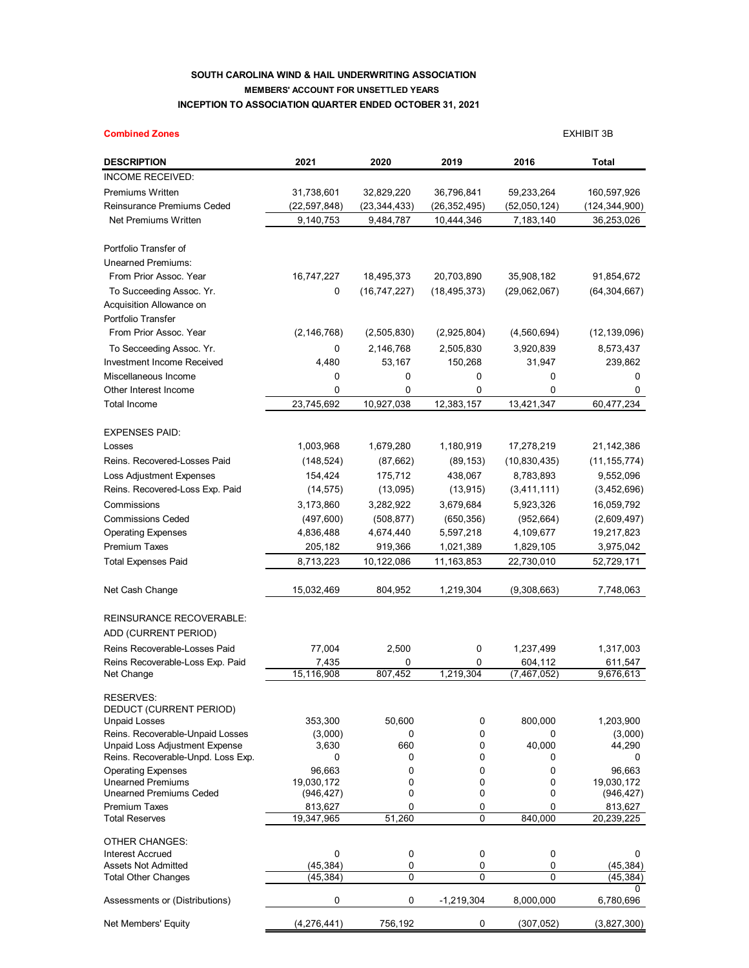## **SOUTH CAROLINA WIND & HAIL UNDERWRITING ASSOCIATION MEMBERS' ACCOUNT FOR UNSETTLED YEARS INCEPTION TO ASSOCIATION QUARTER ENDED OCTOBER 31, 2021**

| <b>Combined Zones</b>                                      |                          |                |                |                        | <b>EXHIBIT 3B</b>        |
|------------------------------------------------------------|--------------------------|----------------|----------------|------------------------|--------------------------|
| <b>DESCRIPTION</b>                                         | 2021                     | 2020           | 2019           | 2016                   | Total                    |
| INCOME RECEIVED:                                           |                          |                |                |                        |                          |
| Premiums Written                                           | 31,738,601               | 32,829,220     | 36,796,841     | 59,233,264             | 160,597,926              |
| Reinsurance Premiums Ceded                                 | (22, 597, 848)           | (23, 344, 433) | (26, 352, 495) | (52,050,124)           | (124, 344, 900)          |
| Net Premiums Written                                       | 9,140,753                | 9,484,787      | 10,444,346     | 7,183,140              | 36,253,026               |
| Portfolio Transfer of                                      |                          |                |                |                        |                          |
| Unearned Premiums:                                         |                          |                |                |                        |                          |
| From Prior Assoc. Year                                     | 16,747,227               | 18,495,373     | 20,703,890     | 35,908,182             | 91,854,672               |
| To Succeeding Assoc. Yr.                                   | 0                        | (16, 747, 227) | (18, 495, 373) | (29,062,067)           | (64, 304, 667)           |
| <b>Acquisition Allowance on</b>                            |                          |                |                |                        |                          |
| Portfolio Transfer                                         |                          |                |                |                        |                          |
| From Prior Assoc. Year                                     | (2, 146, 768)            | (2,505,830)    | (2,925,804)    | (4,560,694)            | (12, 139, 096)           |
| To Secceeding Assoc. Yr.                                   | 0                        | 2,146,768      | 2,505,830      | 3,920,839              | 8,573,437                |
| <b>Investment Income Received</b>                          | 4,480                    | 53,167         | 150,268        | 31,947                 | 239,862                  |
| Miscellaneous Income                                       | 0                        | 0              | 0              | 0                      | 0                        |
| Other Interest Income                                      | 0                        | 0              | 0              | 0                      | 0                        |
| <b>Total Income</b>                                        | 23,745,692               | 10,927,038     | 12,383,157     | 13,421,347             | 60,477,234               |
| EXPENSES PAID:                                             |                          |                |                |                        |                          |
| Losses                                                     | 1,003,968                | 1,679,280      | 1,180,919      | 17,278,219             | 21,142,386               |
| Reins. Recovered-Losses Paid                               | (148, 524)               | (87, 662)      | (89, 153)      | (10, 830, 435)         | (11, 155, 774)           |
| Loss Adjustment Expenses                                   | 154,424                  | 175,712        | 438,067        | 8,783,893              | 9,552,096                |
| Reins. Recovered-Loss Exp. Paid                            | (14, 575)                | (13,095)       | (13, 915)      | (3,411,111)            | (3,452,696)              |
| Commissions                                                | 3,173,860                | 3,282,922      | 3,679,684      | 5,923,326              | 16,059,792               |
| <b>Commissions Ceded</b>                                   | (497,600)                | (508, 877)     | (650, 356)     | (952, 664)             | (2,609,497)              |
| <b>Operating Expenses</b>                                  | 4,836,488                | 4,674,440      | 5,597,218      | 4,109,677              | 19,217,823               |
| Premium Taxes                                              | 205,182                  | 919,366        | 1,021,389      | 1,829,105              | 3,975,042                |
| <b>Total Expenses Paid</b>                                 | 8,713,223                | 10,122,086     | 11,163,853     | 22,730,010             | 52,729,171               |
| Net Cash Change                                            | 15,032,469               | 804,952        | 1,219,304      | (9,308,663)            | 7,748,063                |
| REINSURANCE RECOVERABLE:                                   |                          |                |                |                        |                          |
| ADD (CURRENT PERIOD)                                       |                          |                |                |                        |                          |
|                                                            |                          |                |                |                        |                          |
| Reins Recoverable-Losses Paid                              | 77,004                   | 2,500          | 0              | 1,237,499              | 1,317,003                |
| Reins Recoverable-Loss Exp. Paid<br>Net Change             | 7,435<br>15.116.908      | 0<br>807.452   | 0<br>1.219.304 | 604,112<br>(7.467.052) | 611,547<br>9.676.613     |
|                                                            |                          |                |                |                        |                          |
| RESERVES:<br>DEDUCT (CURRENT PERIOD)                       |                          |                |                |                        |                          |
| <b>Unpaid Losses</b>                                       | 353,300                  | 50,600         | 0              | 800,000                | 1,203,900                |
| Reins. Recoverable-Unpaid Losses                           | (3,000)                  | 0              | 0              | 0                      | (3,000)                  |
| Unpaid Loss Adjustment Expense                             | 3,630                    | 660            | 0              | 40,000                 | 44,290                   |
| Reins. Recoverable-Unpd. Loss Exp.                         | 0                        | 0              | 0              | 0                      | 0                        |
| <b>Operating Expenses</b>                                  | 96,663                   | 0              | 0              | 0                      | 96,663                   |
| <b>Unearned Premiums</b><br><b>Unearned Premiums Ceded</b> | 19,030,172<br>(946, 427) | 0<br>0         | 0<br>0         | 0<br>0                 | 19,030,172<br>(946, 427) |
| Premium Taxes                                              | 813,627                  | 0              | 0              | 0                      | 813,627                  |
| Total Reserves                                             | 19,347,965               | 51,260         | 0              | 840,000                | 20,239,225               |
| OTHER CHANGES:                                             |                          |                |                |                        |                          |
| <b>Interest Accrued</b>                                    | 0                        | 0              | 0              | 0                      | 0                        |
| Assets Not Admitted                                        | (45, 384)                | 0<br>0         | 0<br>0         | 0<br>0                 | (45, 384)                |
| Total Other Changes                                        | (45,384)                 |                |                |                        | (45,384)<br>0            |
| Assessments or (Distributions)                             | 0                        | 0              | $-1,219,304$   | 8,000,000              | 6,780,696                |

Net Members' Equity (4,276,441) 756,192 0 (307,052) (3,827,300)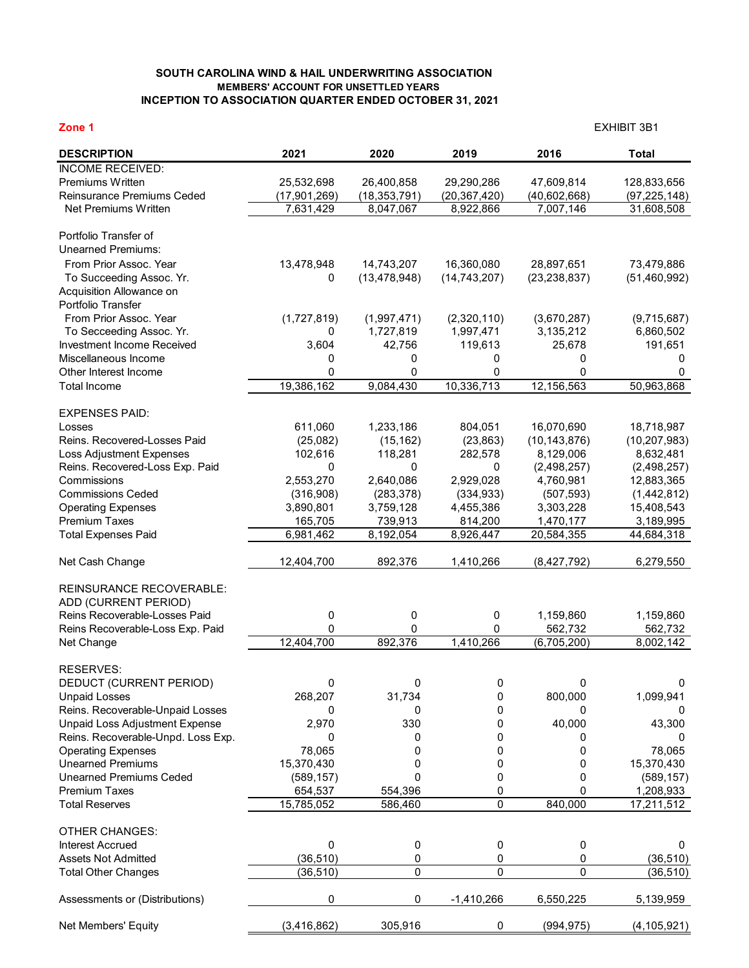## **SOUTH CAROLINA WIND & HAIL UNDERWRITING ASSOCIATION MEMBERS' ACCOUNT FOR UNSETTLED YEARS INCEPTION TO ASSOCIATION QUARTER ENDED OCTOBER 31, 2021**

| Zone 1                                                     |                        |                          |                          | <b>EXHIBIT 3B1</b>       |                              |  |  |
|------------------------------------------------------------|------------------------|--------------------------|--------------------------|--------------------------|------------------------------|--|--|
| <b>DESCRIPTION</b>                                         | 2021                   | 2020                     | 2019                     | 2016                     | <b>Total</b>                 |  |  |
| <b>INCOME RECEIVED:</b>                                    |                        |                          |                          |                          |                              |  |  |
| Premiums Written                                           | 25,532,698             | 26,400,858               | 29,290,286               | 47,609,814               | 128,833,656                  |  |  |
| Reinsurance Premiums Ceded                                 | (17,901,269)           | (18, 353, 791)           | (20, 367, 420)           | (40,602,668)             | (97, 225, 148)               |  |  |
| Net Premiums Written                                       | 7,631,429              | 8,047,067                | 8,922,866                | 7,007,146                | 31,608,508                   |  |  |
| Portfolio Transfer of                                      |                        |                          |                          |                          |                              |  |  |
| <b>Unearned Premiums:</b>                                  |                        |                          |                          |                          |                              |  |  |
| From Prior Assoc. Year                                     | 13,478,948             | 14,743,207               | 16,360,080               | 28,897,651               | 73,479,886                   |  |  |
| To Succeeding Assoc. Yr.                                   | 0                      | (13, 478, 948)           | (14, 743, 207)           | (23, 238, 837)           | (51, 460, 992)               |  |  |
| Acquisition Allowance on                                   |                        |                          |                          |                          |                              |  |  |
| Portfolio Transfer<br>From Prior Assoc. Year               |                        |                          |                          |                          |                              |  |  |
| To Secceeding Assoc. Yr.                                   | (1,727,819)<br>0       | (1,997,471)<br>1,727,819 | (2,320,110)<br>1,997,471 | (3,670,287)<br>3,135,212 | (9,715,687)<br>6,860,502     |  |  |
| Investment Income Received                                 | 3,604                  | 42,756                   | 119,613                  | 25,678                   | 191,651                      |  |  |
| Miscellaneous Income                                       | 0                      | 0                        | 0                        | 0                        | 0                            |  |  |
| Other Interest Income                                      | 0                      | 0                        | 0                        | 0                        | 0                            |  |  |
| <b>Total Income</b>                                        | 19,386,162             | 9,084,430                | 10,336,713               | 12,156,563               | 50,963,868                   |  |  |
|                                                            |                        |                          |                          |                          |                              |  |  |
| <b>EXPENSES PAID:</b>                                      |                        | 1,233,186                |                          | 16,070,690               |                              |  |  |
| Losses<br>Reins. Recovered-Losses Paid                     | 611,060<br>(25,082)    | (15, 162)                | 804,051<br>(23, 863)     | (10, 143, 876)           | 18,718,987<br>(10, 207, 983) |  |  |
| Loss Adjustment Expenses                                   | 102,616                | 118,281                  | 282,578                  | 8,129,006                | 8,632,481                    |  |  |
| Reins. Recovered-Loss Exp. Paid                            | 0                      | 0                        | 0                        | (2,498,257)              | (2,498,257)                  |  |  |
| Commissions                                                | 2,553,270              | 2,640,086                | 2,929,028                | 4,760,981                | 12,883,365                   |  |  |
| <b>Commissions Ceded</b>                                   | (316,908)              | (283, 378)               | (334, 933)               | (507, 593)               | (1,442,812)                  |  |  |
| <b>Operating Expenses</b>                                  | 3,890,801              | 3,759,128                | 4,455,386                | 3,303,228                | 15,408,543                   |  |  |
| <b>Premium Taxes</b>                                       | 165,705                | 739,913                  | 814,200                  | 1,470,177                | 3,189,995                    |  |  |
| <b>Total Expenses Paid</b>                                 | 6,981,462              | 8,192,054                | 8,926,447                | 20,584,355               | 44,684,318                   |  |  |
| Net Cash Change                                            | 12,404,700             | 892,376                  | 1,410,266                | (8,427,792)              | 6,279,550                    |  |  |
| <b>REINSURANCE RECOVERABLE:</b>                            |                        |                          |                          |                          |                              |  |  |
| ADD (CURRENT PERIOD)                                       |                        |                          |                          |                          |                              |  |  |
| Reins Recoverable-Losses Paid                              | 0                      | 0                        | 0                        | 1,159,860                | 1,159,860                    |  |  |
| Reins Recoverable-Loss Exp. Paid                           | 0                      | 0                        | 0                        | 562,732                  | 562,732                      |  |  |
| Net Change                                                 | 12,404,700             | 892,376                  | 1,410,266                | (6,705,200)              | 8,002,142                    |  |  |
| RESERVES:                                                  |                        |                          |                          |                          |                              |  |  |
| DEDUCT (CURRENT PERIOD)                                    | 0                      | 0                        | 0                        | 0                        | 0                            |  |  |
| <b>Unpaid Losses</b>                                       | 268,207                | 31,734                   | 0                        | 800,000                  | 1,099,941                    |  |  |
| Reins. Recoverable-Unpaid Losses                           | 0                      | 0                        | 0                        | 0                        | 0                            |  |  |
| Unpaid Loss Adjustment Expense                             | 2,970                  | 330                      | 0                        | 40,000                   | 43,300                       |  |  |
| Reins. Recoverable-Unpd. Loss Exp.                         | 0                      | 0                        | 0                        | 0                        | 0                            |  |  |
| <b>Operating Expenses</b>                                  | 78,065                 | 0                        | 0                        | 0                        | 78,065                       |  |  |
| <b>Unearned Premiums</b><br><b>Unearned Premiums Ceded</b> | 15,370,430             | 0                        | 0<br>0                   | 0                        | 15,370,430                   |  |  |
| <b>Premium Taxes</b>                                       | (589, 157)<br>654,537  | 0<br>554,396             | 0                        | 0<br>0                   | (589, 157)<br>1,208,933      |  |  |
| <b>Total Reserves</b>                                      | 15,785,052             | 586,460                  | 0                        | 840,000                  | 17,211,512                   |  |  |
|                                                            |                        |                          |                          |                          |                              |  |  |
| <b>OTHER CHANGES:</b>                                      |                        |                          |                          |                          |                              |  |  |
| <b>Interest Accrued</b>                                    | 0                      | 0                        | 0                        | 0                        | 0                            |  |  |
| <b>Assets Not Admitted</b><br><b>Total Other Changes</b>   | (36, 510)<br>(36, 510) | 0<br>0                   | 0<br>0                   | 0<br>0                   | (36, 510)<br>(36, 510)       |  |  |
|                                                            |                        |                          |                          |                          |                              |  |  |
| Assessments or (Distributions)                             | 0                      | 0                        | $-1,410,266$             | 6,550,225                | 5,139,959                    |  |  |
| Net Members' Equity                                        | (3,416,862)            | 305,916                  | 0                        | (994, 975)               | (4, 105, 921)                |  |  |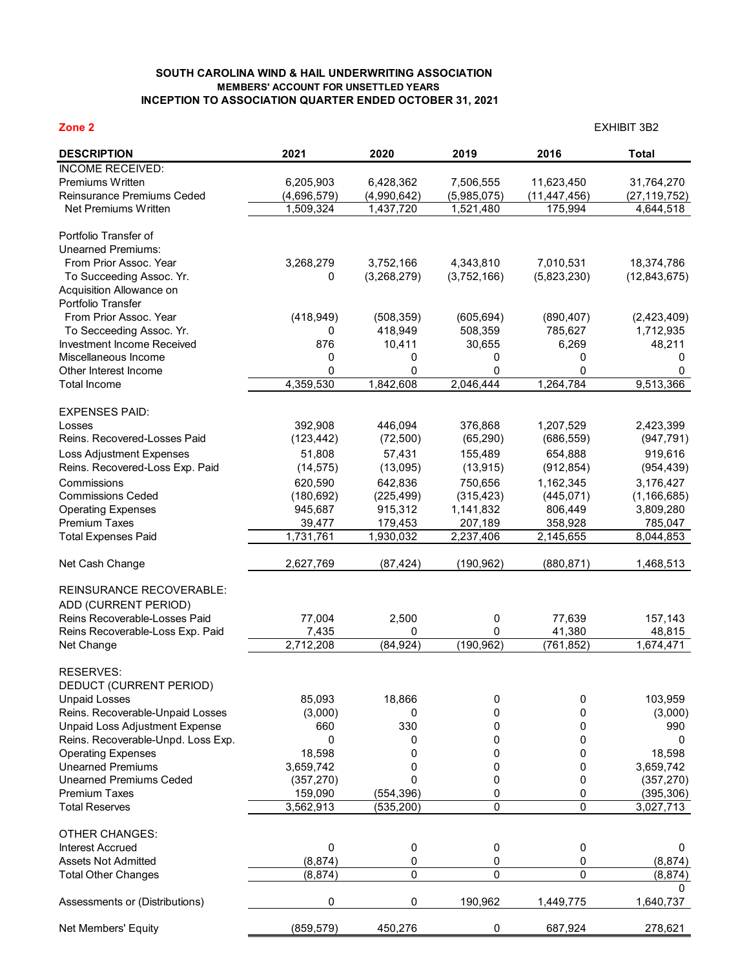## **SOUTH CAROLINA WIND & HAIL UNDERWRITING ASSOCIATION MEMBERS' ACCOUNT FOR UNSETTLED YEARS INCEPTION TO ASSOCIATION QUARTER ENDED OCTOBER 31, 2021**

| Zone 2                                             |             |             |             | <b>EXHIBIT 3B2</b> |                          |  |  |
|----------------------------------------------------|-------------|-------------|-------------|--------------------|--------------------------|--|--|
| <b>DESCRIPTION</b>                                 | 2021        | 2020        | 2019        | 2016               | <b>Total</b>             |  |  |
| <b>INCOME RECEIVED:</b>                            |             |             |             |                    |                          |  |  |
| Premiums Written                                   | 6,205,903   | 6,428,362   | 7,506,555   | 11,623,450         | 31,764,270               |  |  |
| Reinsurance Premiums Ceded                         | (4,696,579) | (4,990,642) | (5,985,075) | (11, 447, 456)     | (27, 119, 752)           |  |  |
| Net Premiums Written                               | 1,509,324   | 1,437,720   | 1,521,480   | 175,994            | 4,644,518                |  |  |
| Portfolio Transfer of                              |             |             |             |                    |                          |  |  |
| <b>Unearned Premiums:</b>                          |             |             |             |                    |                          |  |  |
| From Prior Assoc. Year                             | 3,268,279   | 3,752,166   | 4,343,810   | 7,010,531          | 18,374,786               |  |  |
| To Succeeding Assoc. Yr.                           | 0           | (3,268,279) | (3,752,166) | (5,823,230)        | (12, 843, 675)           |  |  |
| Acquisition Allowance on                           |             |             |             |                    |                          |  |  |
| Portfolio Transfer                                 |             |             |             |                    |                          |  |  |
| From Prior Assoc. Year                             | (418, 949)  | (508, 359)  | (605, 694)  | (890, 407)         | (2,423,409)              |  |  |
| To Secceeding Assoc. Yr.                           | 0           | 418,949     | 508,359     | 785,627            | 1,712,935                |  |  |
| Investment Income Received<br>Miscellaneous Income | 876         | 10,411      | 30,655      | 6,269              | 48,211                   |  |  |
| Other Interest Income                              | 0<br>0      | 0<br>0      | 0<br>0      | 0<br>0             | 0<br>0                   |  |  |
| <b>Total Income</b>                                | 4,359,530   | 1,842,608   | 2,046,444   | 1,264,784          | 9,513,366                |  |  |
|                                                    |             |             |             |                    |                          |  |  |
| <b>EXPENSES PAID:</b>                              |             |             |             |                    |                          |  |  |
| Losses                                             | 392,908     | 446,094     | 376,868     | 1,207,529          | 2,423,399                |  |  |
| Reins. Recovered-Losses Paid                       | (123, 442)  | (72, 500)   | (65, 290)   | (686, 559)         | (947, 791)               |  |  |
| <b>Loss Adjustment Expenses</b>                    | 51,808      | 57,431      | 155,489     | 654,888            | 919,616                  |  |  |
| Reins. Recovered-Loss Exp. Paid                    | (14, 575)   | (13,095)    | (13, 915)   | (912, 854)         | (954, 439)               |  |  |
| Commissions                                        | 620,590     | 642,836     | 750,656     | 1,162,345          | 3,176,427                |  |  |
| <b>Commissions Ceded</b>                           | (180, 692)  | (225, 499)  | (315, 423)  | (445, 071)         | (1, 166, 685)            |  |  |
| <b>Operating Expenses</b>                          | 945,687     | 915,312     | 1,141,832   | 806,449            | 3,809,280                |  |  |
| <b>Premium Taxes</b>                               | 39,477      | 179,453     | 207,189     | 358,928            | 785,047                  |  |  |
| <b>Total Expenses Paid</b>                         | 1,731,761   | 1,930,032   | 2,237,406   | 2,145,655          | 8,044,853                |  |  |
| Net Cash Change                                    | 2,627,769   | (87, 424)   | (190, 962)  | (880, 871)         | 1,468,513                |  |  |
| <b>REINSURANCE RECOVERABLE:</b>                    |             |             |             |                    |                          |  |  |
| ADD (CURRENT PERIOD)                               |             |             |             |                    |                          |  |  |
| Reins Recoverable-Losses Paid                      | 77,004      | 2,500       | 0           | 77,639             | 157,143                  |  |  |
| Reins Recoverable-Loss Exp. Paid                   | 7,435       | 0           | 0           | 41,380             | 48,815                   |  |  |
| Net Change                                         | 2,712,208   | (84, 924)   | (190, 962)  | (761, 852)         | 1,674,471                |  |  |
| RESERVES:                                          |             |             |             |                    |                          |  |  |
| DEDUCT (CURRENT PERIOD)                            |             |             |             |                    |                          |  |  |
| <b>Unpaid Losses</b>                               | 85,093      | 18,866      | 0           | 0                  | 103,959                  |  |  |
| Reins. Recoverable-Unpaid Losses                   | (3,000)     | 0           | 0           | 0                  | (3,000)                  |  |  |
| Unpaid Loss Adjustment Expense                     | 660         | 330         | 0           | 0                  | 990                      |  |  |
| Reins. Recoverable-Unpd. Loss Exp.                 | 0           | 0           | 0           | 0                  | $\mathbf{0}$             |  |  |
| <b>Operating Expenses</b>                          | 18,598      | 0           | 0           | 0                  | 18,598                   |  |  |
| <b>Unearned Premiums</b>                           | 3,659,742   | 0           | 0           | 0                  | 3,659,742                |  |  |
| <b>Unearned Premiums Ceded</b>                     | (357, 270)  | 0           | 0           | 0                  | (357, 270)               |  |  |
| <b>Premium Taxes</b><br><b>Total Reserves</b>      | 159,090     | (554, 396)  | 0           | 0                  | (395, 306)               |  |  |
|                                                    | 3,562,913   | (535, 200)  | 0           | 0                  | 3,027,713                |  |  |
| <b>OTHER CHANGES:</b>                              |             |             |             |                    |                          |  |  |
| <b>Interest Accrued</b>                            | 0           | 0           | 0           | 0                  | 0                        |  |  |
| <b>Assets Not Admitted</b>                         | (8, 874)    | 0           | 0           | 0                  | (8, 874)                 |  |  |
| <b>Total Other Changes</b>                         | (8, 874)    | 0           | 0           | 0                  | (8, 874)<br><sup>0</sup> |  |  |
| Assessments or (Distributions)                     | 0           | 0           | 190,962     | 1,449,775          | 1,640,737                |  |  |
| Net Members' Equity                                | (859, 579)  | 450,276     | 0           | 687,924            | 278,621                  |  |  |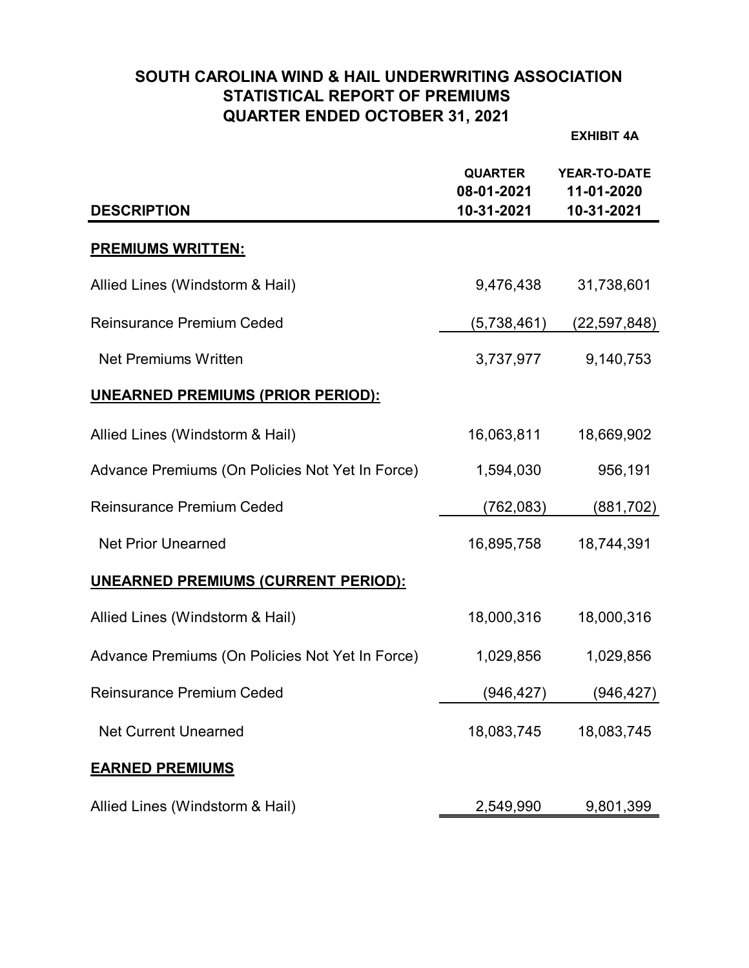# **SOUTH CAROLINA WIND & HAIL UNDERWRITING ASSOCIATION STATISTICAL REPORT OF PREMIUMS QUARTER ENDED OCTOBER 31, 2021**

**EXHIBIT 4A**

| <b>DESCRIPTION</b>                              | <b>QUARTER</b><br>08-01-2021<br>10-31-2021 | <b>YEAR-TO-DATE</b><br>11-01-2020<br>10-31-2021 |
|-------------------------------------------------|--------------------------------------------|-------------------------------------------------|
| <b>PREMIUMS WRITTEN:</b>                        |                                            |                                                 |
| Allied Lines (Windstorm & Hail)                 | 9,476,438                                  | 31,738,601                                      |
| <b>Reinsurance Premium Ceded</b>                | (5,738,461)                                | (22, 597, 848)                                  |
| <b>Net Premiums Written</b>                     | 3,737,977                                  | 9,140,753                                       |
| <b>UNEARNED PREMIUMS (PRIOR PERIOD):</b>        |                                            |                                                 |
| Allied Lines (Windstorm & Hail)                 | 16,063,811                                 | 18,669,902                                      |
| Advance Premiums (On Policies Not Yet In Force) | 1,594,030                                  | 956,191                                         |
| <b>Reinsurance Premium Ceded</b>                | (762, 083)                                 | (881, 702)                                      |
| <b>Net Prior Unearned</b>                       | 16,895,758                                 | 18,744,391                                      |
| <b>UNEARNED PREMIUMS (CURRENT PERIOD):</b>      |                                            |                                                 |
| Allied Lines (Windstorm & Hail)                 | 18,000,316                                 | 18,000,316                                      |
| Advance Premiums (On Policies Not Yet In Force) | 1,029,856                                  | 1,029,856                                       |
| <b>Reinsurance Premium Ceded</b>                | (946,427)                                  | (946, 427)                                      |
| <b>Net Current Unearned</b>                     | 18,083,745                                 | 18,083,745                                      |
| <b>EARNED PREMIUMS</b>                          |                                            |                                                 |
| Allied Lines (Windstorm & Hail)                 | 2,549,990                                  | 9,801,399                                       |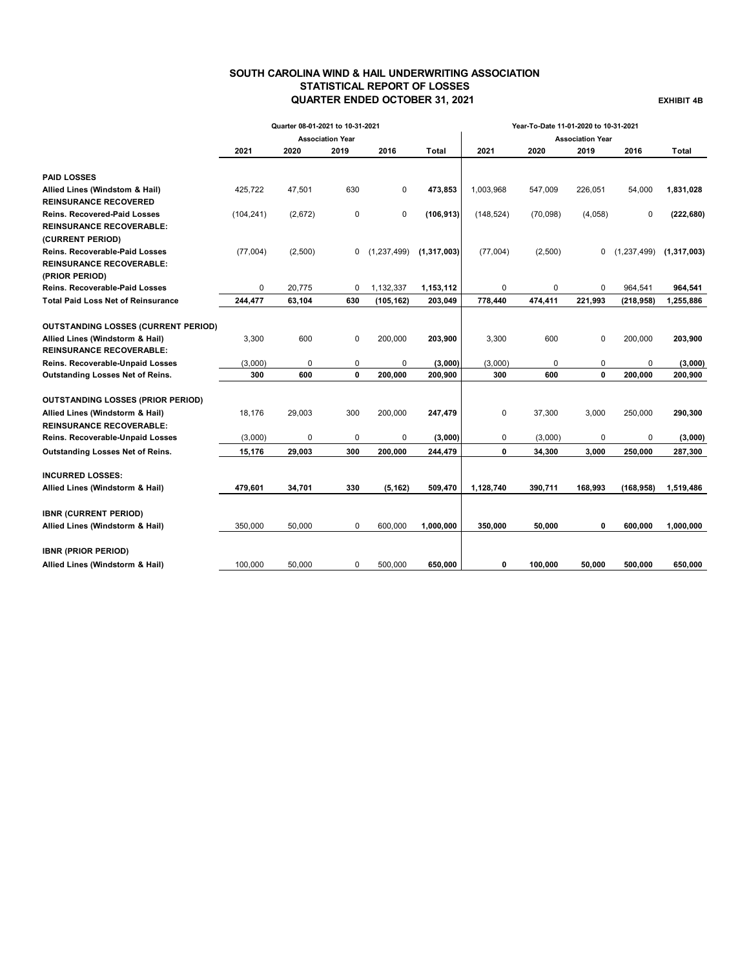## **SOUTH CAROLINA WIND & HAIL UNDERWRITING ASSOCIATION STATISTICAL REPORT OF LOSSES QUARTER ENDED OCTOBER 31, 2021 EXHIBIT 4B**

|                                            |             | Quarter 08-01-2021 to 10-31-2021 |                         |             |               |            | Year-To-Date 11-01-2020 to 10-31-2021 |                         |            |                             |
|--------------------------------------------|-------------|----------------------------------|-------------------------|-------------|---------------|------------|---------------------------------------|-------------------------|------------|-----------------------------|
|                                            |             |                                  | <b>Association Year</b> |             |               |            |                                       | <b>Association Year</b> |            |                             |
|                                            | 2021        | 2020                             | 2019                    | 2016        | Total         | 2021       | 2020                                  | 2019                    | 2016       | Total                       |
| <b>PAID LOSSES</b>                         |             |                                  |                         |             |               |            |                                       |                         |            |                             |
| Allied Lines (Windstom & Hail)             | 425,722     | 47,501                           | 630                     | 0           | 473,853       | 1,003,968  | 547,009                               | 226,051                 | 54,000     | 1,831,028                   |
| <b>REINSURANCE RECOVERED</b>               |             |                                  |                         |             |               |            |                                       |                         |            |                             |
| <b>Reins. Recovered-Paid Losses</b>        | (104, 241)  | (2,672)                          | 0                       | 0           | (106, 913)    | (148, 524) | (70,098)                              | (4,058)                 | 0          | (222, 680)                  |
| <b>REINSURANCE RECOVERABLE:</b>            |             |                                  |                         |             |               |            |                                       |                         |            |                             |
| (CURRENT PERIOD)                           |             |                                  |                         |             |               |            |                                       |                         |            |                             |
| <b>Reins. Recoverable-Paid Losses</b>      | (77,004)    | (2,500)                          | 0                       | (1,237,499) | (1, 317, 003) | (77,004)   | (2,500)                               | 0                       |            | $(1,237,499)$ $(1,317,003)$ |
| <b>REINSURANCE RECOVERABLE:</b>            |             |                                  |                         |             |               |            |                                       |                         |            |                             |
| (PRIOR PERIOD)                             |             |                                  |                         |             |               |            |                                       |                         |            |                             |
| <b>Reins. Recoverable-Paid Losses</b>      | $\mathbf 0$ | 20.775                           | 0                       | 1.132.337   | 1,153,112     | 0          | $\Omega$                              | $\Omega$                | 964.541    | 964,541                     |
| <b>Total Paid Loss Net of Reinsurance</b>  | 244,477     | 63,104                           | 630                     | (105, 162)  | 203,049       | 778,440    | 474,411                               | 221,993                 | (218, 958) | 1,255,886                   |
| <b>OUTSTANDING LOSSES (CURRENT PERIOD)</b> |             |                                  |                         |             |               |            |                                       |                         |            |                             |
| Allied Lines (Windstorm & Hail)            | 3,300       | 600                              | 0                       | 200,000     | 203,900       | 3,300      | 600                                   | 0                       | 200,000    | 203,900                     |
| <b>REINSURANCE RECOVERABLE:</b>            |             |                                  |                         |             |               |            |                                       |                         |            |                             |
| Reins. Recoverable-Unpaid Losses           | (3,000)     | 0                                | 0                       | 0           | (3,000)       | (3,000)    | 0                                     | 0                       | 0          | (3,000)                     |
| Outstanding Losses Net of Reins.           | 300         | 600                              | $\mathbf{0}$            | 200,000     | 200,900       | 300        | 600                                   | 0                       | 200,000    | 200,900                     |
|                                            |             |                                  |                         |             |               |            |                                       |                         |            |                             |
| <b>OUTSTANDING LOSSES (PRIOR PERIOD)</b>   |             |                                  |                         |             |               |            |                                       |                         |            |                             |
| Allied Lines (Windstorm & Hail)            | 18,176      | 29,003                           | 300                     | 200,000     | 247,479       | 0          | 37,300                                | 3,000                   | 250,000    | 290,300                     |
| <b>REINSURANCE RECOVERABLE:</b>            |             |                                  |                         |             |               |            |                                       |                         |            |                             |
| Reins. Recoverable-Unpaid Losses           | (3,000)     | $\mathbf 0$                      | 0                       | 0           | (3,000)       | 0          | (3,000)                               | 0                       | 0          | (3,000)                     |
| Outstanding Losses Net of Reins.           | 15,176      | 29,003                           | 300                     | 200,000     | 244,479       | 0          | 34,300                                | 3,000                   | 250,000    | 287,300                     |
| <b>INCURRED LOSSES:</b>                    |             |                                  |                         |             |               |            |                                       |                         |            |                             |
| Allied Lines (Windstorm & Hail)            | 479,601     | 34,701                           | 330                     | (5, 162)    | 509,470       | 1,128,740  | 390,711                               | 168,993                 | (168, 958) | 1,519,486                   |
|                                            |             |                                  |                         |             |               |            |                                       |                         |            |                             |
| <b>IBNR (CURRENT PERIOD)</b>               |             |                                  |                         |             |               |            |                                       |                         |            |                             |
| Allied Lines (Windstorm & Hail)            | 350.000     | 50.000                           | $\mathbf 0$             | 600.000     | 1,000,000     | 350,000    | 50,000                                | 0                       | 600.000    | 1,000,000                   |
|                                            |             |                                  |                         |             |               |            |                                       |                         |            |                             |
| <b>IBNR (PRIOR PERIOD)</b>                 |             |                                  |                         |             |               |            |                                       |                         |            |                             |
| Allied Lines (Windstorm & Hail)            | 100,000     | 50,000                           | 0                       | 500,000     | 650,000       | 0          | 100.000                               | 50,000                  | 500,000    | 650,000                     |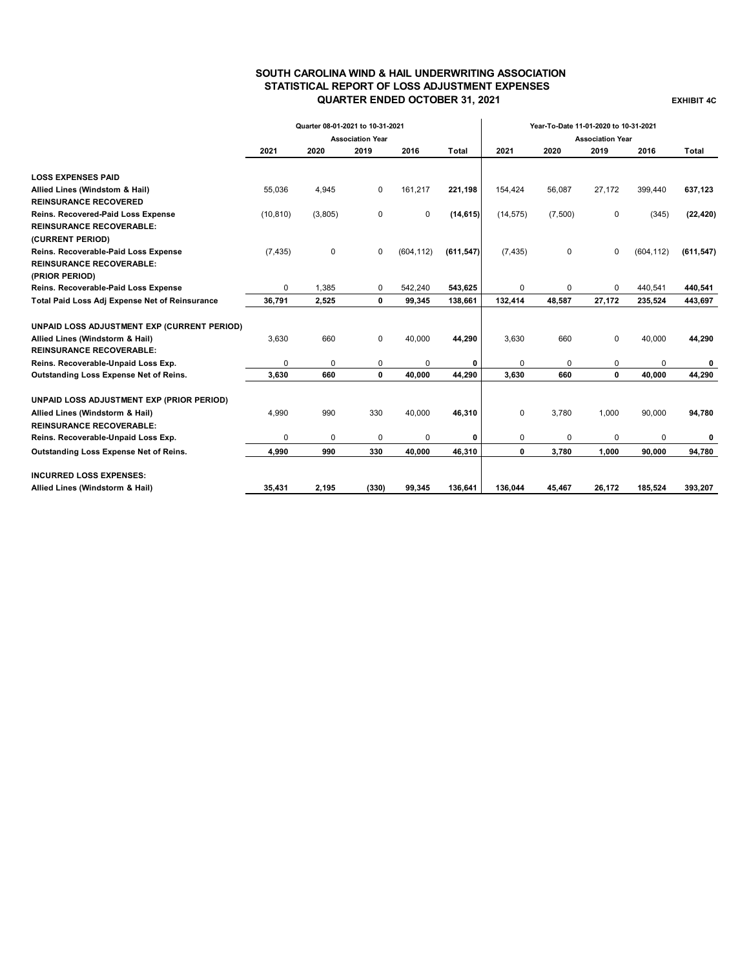## **SOUTH CAROLINA WIND & HAIL UNDERWRITING ASSOCIATION STATISTICAL REPORT OF LOSS ADJUSTMENT EXPENSES QUARTER ENDED OCTOBER 31, 2021 EXHIBIT 4C**

|                                                | Quarter 08-01-2021 to 10-31-2021 |         |                         |            |            | Year-To-Date 11-01-2020 to 10-31-2021 |             |                         |            |            |
|------------------------------------------------|----------------------------------|---------|-------------------------|------------|------------|---------------------------------------|-------------|-------------------------|------------|------------|
|                                                |                                  |         | <b>Association Year</b> |            |            |                                       |             | <b>Association Year</b> |            |            |
|                                                | 2021                             | 2020    | 2019                    | 2016       | Total      | 2021                                  | 2020        | 2019                    | 2016       | Total      |
|                                                |                                  |         |                         |            |            |                                       |             |                         |            |            |
| <b>LOSS EXPENSES PAID</b>                      |                                  |         |                         |            |            |                                       |             |                         |            |            |
| Allied Lines (Windstom & Hail)                 | 55,036                           | 4,945   | 0                       | 161,217    | 221,198    | 154,424                               | 56,087      | 27,172                  | 399,440    | 637,123    |
| <b>REINSURANCE RECOVERED</b>                   |                                  |         |                         |            |            |                                       |             |                         |            |            |
| Reins. Recovered-Paid Loss Expense             | (10, 810)                        | (3,805) | 0                       | 0          | (14, 615)  | (14, 575)                             | (7,500)     | 0                       | (345)      | (22, 420)  |
| <b>REINSURANCE RECOVERABLE:</b>                |                                  |         |                         |            |            |                                       |             |                         |            |            |
| (CURRENT PERIOD)                               |                                  |         |                         |            |            |                                       |             |                         |            |            |
| Reins. Recoverable-Paid Loss Expense           | (7, 435)                         | 0       | 0                       | (604, 112) | (611, 547) | (7, 435)                              | $\mathsf 0$ | $\mathbf 0$             | (604, 112) | (611, 547) |
| <b>REINSURANCE RECOVERABLE:</b>                |                                  |         |                         |            |            |                                       |             |                         |            |            |
| (PRIOR PERIOD)                                 |                                  |         |                         |            |            |                                       |             |                         |            |            |
| Reins. Recoverable-Paid Loss Expense           | $\Omega$                         | 1,385   | 0                       | 542.240    | 543,625    | 0                                     | $\mathbf 0$ | $\Omega$                | 440.541    | 440,541    |
| Total Paid Loss Adj Expense Net of Reinsurance | 36,791                           | 2,525   | 0                       | 99,345     | 138,661    | 132,414                               | 48.587      | 27,172                  | 235,524    | 443,697    |
| UNPAID LOSS ADJUSTMENT EXP (CURRENT PERIOD)    |                                  |         |                         |            |            |                                       |             |                         |            |            |
| Allied Lines (Windstorm & Hail)                | 3,630                            | 660     | 0                       | 40,000     | 44,290     | 3,630                                 | 660         | $\mathbf 0$             | 40,000     | 44,290     |
| <b>REINSURANCE RECOVERABLE:</b>                |                                  |         |                         |            |            |                                       |             |                         |            |            |
| Reins. Recoverable-Unpaid Loss Exp.            | 0                                | 0       | 0                       | 0          | 0          | 0                                     | 0           | 0                       | 0          | 0          |
| Outstanding Loss Expense Net of Reins.         | 3,630                            | 660     | 0                       | 40,000     | 44,290     | 3,630                                 | 660         | $\mathbf{0}$            | 40,000     | 44,290     |
| UNPAID LOSS ADJUSTMENT EXP (PRIOR PERIOD)      |                                  |         |                         |            |            |                                       |             |                         |            |            |
| Allied Lines (Windstorm & Hail)                | 4,990                            | 990     | 330                     | 40,000     | 46,310     | $\mathbf 0$                           | 3,780       | 1,000                   | 90,000     | 94,780     |
| <b>REINSURANCE RECOVERABLE:</b>                |                                  |         |                         |            |            |                                       |             |                         |            |            |
| Reins. Recoverable-Unpaid Loss Exp.            | 0                                | 0       | 0                       | 0          | 0          | 0                                     | 0           | 0                       | $\Omega$   | 0          |
| Outstanding Loss Expense Net of Reins.         | 4,990                            | 990     | 330                     | 40,000     | 46,310     | $\mathbf{0}$                          | 3,780       | 1,000                   | 90,000     | 94,780     |
| <b>INCURRED LOSS EXPENSES:</b>                 |                                  |         |                         |            |            |                                       |             |                         |            |            |
| Allied Lines (Windstorm & Hail)                | 35,431                           | 2,195   | (330)                   | 99,345     | 136,641    | 136,044                               | 45,467      | 26,172                  | 185,524    | 393,207    |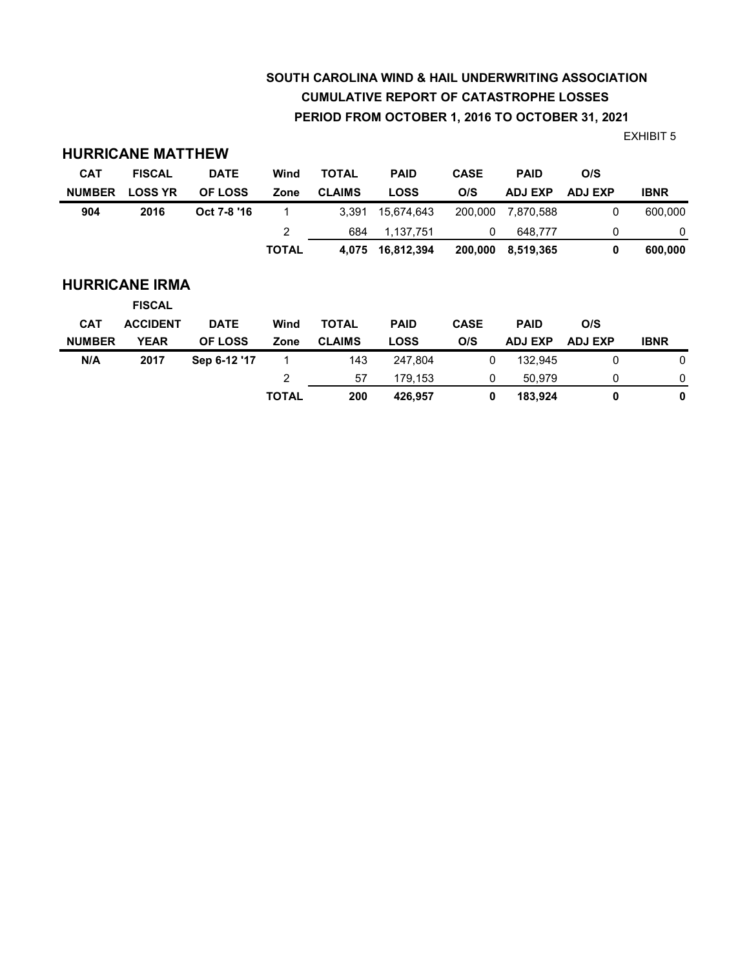# **SOUTH CAROLINA WIND & HAIL UNDERWRITING ASSOCIATION CUMULATIVE REPORT OF CATASTROPHE LOSSES PERIOD FROM OCTOBER 1, 2016 TO OCTOBER 31, 2021**

EXHIBIT 5

|                       | <b>HURRICANE MATTHEW</b> |                |              |               |             |             |                |                |             |  |
|-----------------------|--------------------------|----------------|--------------|---------------|-------------|-------------|----------------|----------------|-------------|--|
| <b>CAT</b>            | <b>FISCAL</b>            | <b>DATE</b>    | Wind         | <b>TOTAL</b>  | <b>PAID</b> | <b>CASE</b> | <b>PAID</b>    | O/S            |             |  |
| <b>NUMBER</b>         | <b>LOSS YR</b>           | <b>OF LOSS</b> | Zone         | <b>CLAIMS</b> | <b>LOSS</b> | O/S         | <b>ADJ EXP</b> | <b>ADJ EXP</b> | <b>IBNR</b> |  |
| 904                   | 2016                     | Oct 7-8 '16    | 1            | 3,391         | 15,674,643  | 200,000     | 7,870,588      | 0              | 600,000     |  |
|                       |                          |                | 2            | 684           | 1,137,751   | 0           | 648,777        | 0              | 0           |  |
|                       |                          |                | <b>TOTAL</b> | 4,075         | 16,812,394  | 200,000     | 8,519,365      | 0              | 600,000     |  |
| <b>HURRICANE IRMA</b> |                          |                |              |               |             |             |                |                |             |  |
|                       | <b>FISCAL</b>            |                |              |               |             |             |                |                |             |  |
| <b>CAT</b>            | <b>ACCIDENT</b>          | <b>DATE</b>    | Wind         | <b>TOTAL</b>  | <b>PAID</b> | <b>CASE</b> | <b>PAID</b>    | O/S            |             |  |
| <b>NUMBER</b>         | <b>YEAR</b>              | <b>OF LOSS</b> | Zone         | <b>CLAIMS</b> | <b>LOSS</b> | O/S         | <b>ADJ EXP</b> | <b>ADJ EXP</b> | <b>IBNR</b> |  |
| N/A                   | 2017                     | Sep 6-12 '17   | 1            | 143           | 247,804     | 0           | 132.945        | 0              | 0           |  |
|                       |                          |                | 2            | 57            | 179,153     | 0           | 50.979         | 0              | 0           |  |
|                       |                          |                | <b>TOTAL</b> | 200           | 426,957     | 0           | 183,924        | 0              | $\mathbf 0$ |  |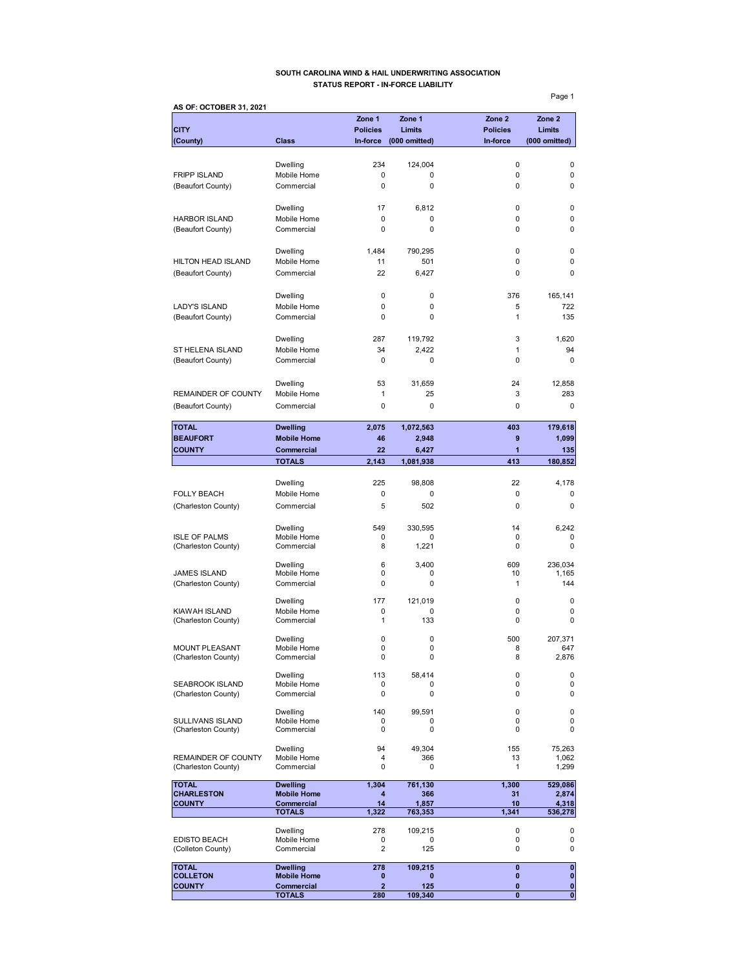### **SOUTH CAROLINA WIND & HAIL UNDERWRITING ASSOCIATION STATUS REPORT - IN-FORCE LIABILITY**

**AS OF: OCTOBER 31, 2021 Zone 1 Zone 1 Zone 2 Zone 2 CITY Policies Limits Policies Limits (County) Class In-force (000 omitted) In-force (000 omitted)** Dwelling 234 124,004 0 0 FRIPP ISLAND Mobile Home 0 0 0 0 (Beaufort County) Commercial 0 0 0 0 Dwelling 17 6,812 0 0 HARBOR ISLAND Mobile Home 0 0 0 0 (Beaufort County) Commercial 0 0 0 Dwelling 1,484 790,295 0 0 HILTON HEAD ISLAND Mobile Home 11 501 0 0 0 (Beaufort County) Commercial 22 6,427 0 0 Dwelling 0 0 376 165,141 LADY'S ISLAND Mobile Home 0 0 0 5 722<br>
(Beaufort County) Commercial 0 0 0 1 1 135 (Beaufort County) Commercial 0 0 0 1 Dwelling 287 119,792 3 1,620 ST HELENA ISLAND Mobile Home 34 2,422 1 94 (Beaufort County) Commercial 0 0 0 0 Dwelling 53 31,659 24 12,858 REMAINDER OF COUNTY Mobile Home  $\begin{array}{cccc} 1 & 25 & 3 & 283 \end{array}$ (Beaufort County) Commercial 0 0 0 0 **TOTAL Dwelling 2,075 1,072,563 403 179,618 BEAUFORT** Mobile Home 46 2,948 9 1,099 **COUNTY Commercial 22 6,427 1 135 TOTALS 2,143 1,081,938 413 180,852** Dwelling 225 98,808 22 4,178 FOLLY BEACH Mobile Home 0 0 0 0 0 0 0 0 (Charleston County) Commercial 5 502 0 0 0 0 Dwelling 549 330,595 14 6,242 ISLE OF PALMS Mobile Home 0 0 0 0 (Charleston County) Commercial 8 1,221 0 0 0 Dwelling 6 3,400 609 236,034 JAMES ISLAND Mobile Home 0 0 10 1,165 (Charleston County) Commercial 0 0 0 1 1 144 Dwelling 177 121,019 0 0 KIAWAH ISLAND Mobile Home 0 0 0 0 (Charleston County) Commercial 1 133 0 0 0 Dwelling 0 0 500 207,371 MOUNT PLEASANT Mobile Home 0 0 0 8 647<br>(Charleston County) Commercial 0 0 0 8 2,876 (Charleston County) Dwelling 113 58,414 0 0 SEABROOK ISLAND Mobile Home 0 0 0 0 0 0<br>
(Charleston County) Commercial 0 0 0 0 0 (Charleston County) Dwelling 140 99,591 0 0 SULLIVANS ISLAND Mobile Home 0 0 0 0 0<br>
(Charleston County) Commercial 0 0 0 0 0 0 (Charleston County) Dwelling 94 49,304 155 75,263 REMAINDER OF COUNTY Mobile Home  $\begin{array}{cccc} 4 & 366 & 13 & 1,062 \\ 4 & 0 & 0 & 1 & 1,299 \end{array}$ (Charleston County) TOTAL **Dwelling 1,304 761,130** 1,300 529,086<br>CHARLESTON Mobile Home 4 366 31 2,874 **CHARLESTON Mobile Home 4 366 31 2,874**<br> **COUNTY Commercial 14 1,857 10 4,315 COUNTY Commercial 14 1,857 10 4,318 TOTALS 1,322 763,353 1,341 536,278** Dwelling 278 109,215 0 0 EDISTO BEACH Mobile Home 0 0 0 0 (Colleton County) **TOTAL Dwelling 278 109,215 0 0 COLLETON Mobile Home 0 0 0 0 COUNTY Commercial 2** 125 0 0

**TOTALS** 280 109,340 0 0 0

Page 1